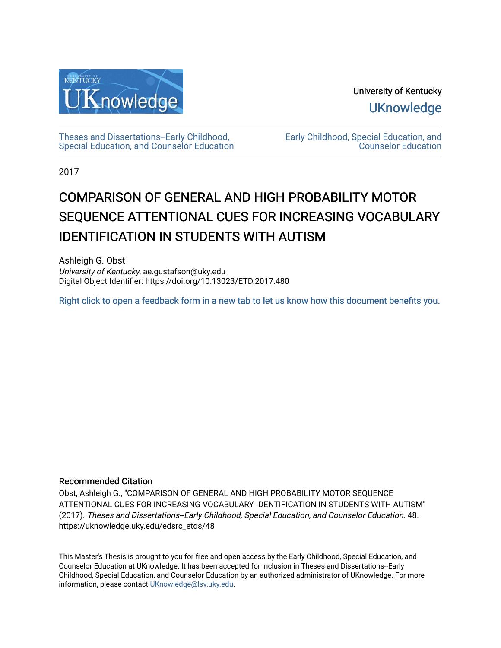

University of Kentucky **UKnowledge** 

[Theses and Dissertations--Early Childhood,](https://uknowledge.uky.edu/edsrc_etds)  [Special Education, and Counselor Education](https://uknowledge.uky.edu/edsrc_etds) [Early Childhood, Special Education, and](https://uknowledge.uky.edu/edsrc)  [Counselor Education](https://uknowledge.uky.edu/edsrc) 

2017

# COMPARISON OF GENERAL AND HIGH PROBABILITY MOTOR SEQUENCE ATTENTIONAL CUES FOR INCREASING VOCABULARY **IDENTIFICATION IN STUDENTS WITH AUTISM**

Ashleigh G. Obst University of Kentucky, ae.gustafson@uky.edu Digital Object Identifier: https://doi.org/10.13023/ETD.2017.480

[Right click to open a feedback form in a new tab to let us know how this document benefits you.](https://uky.az1.qualtrics.com/jfe/form/SV_9mq8fx2GnONRfz7)

#### Recommended Citation

Obst, Ashleigh G., "COMPARISON OF GENERAL AND HIGH PROBABILITY MOTOR SEQUENCE ATTENTIONAL CUES FOR INCREASING VOCABULARY IDENTIFICATION IN STUDENTS WITH AUTISM" (2017). Theses and Dissertations--Early Childhood, Special Education, and Counselor Education. 48. https://uknowledge.uky.edu/edsrc\_etds/48

This Master's Thesis is brought to you for free and open access by the Early Childhood, Special Education, and Counselor Education at UKnowledge. It has been accepted for inclusion in Theses and Dissertations--Early Childhood, Special Education, and Counselor Education by an authorized administrator of UKnowledge. For more information, please contact [UKnowledge@lsv.uky.edu](mailto:UKnowledge@lsv.uky.edu).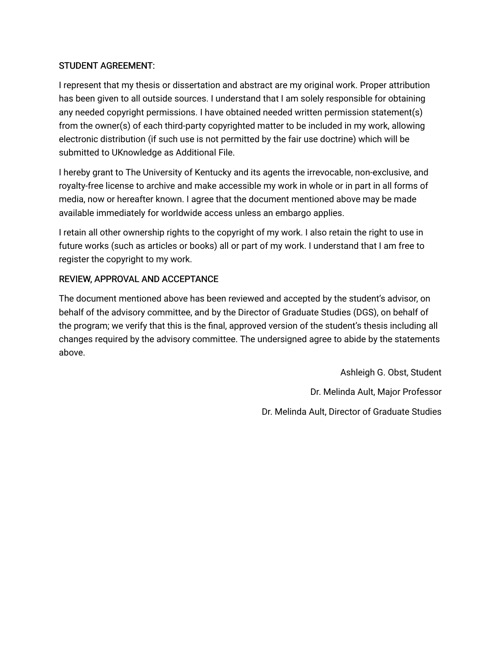## STUDENT AGREEMENT:

I represent that my thesis or dissertation and abstract are my original work. Proper attribution has been given to all outside sources. I understand that I am solely responsible for obtaining any needed copyright permissions. I have obtained needed written permission statement(s) from the owner(s) of each third-party copyrighted matter to be included in my work, allowing electronic distribution (if such use is not permitted by the fair use doctrine) which will be submitted to UKnowledge as Additional File.

I hereby grant to The University of Kentucky and its agents the irrevocable, non-exclusive, and royalty-free license to archive and make accessible my work in whole or in part in all forms of media, now or hereafter known. I agree that the document mentioned above may be made available immediately for worldwide access unless an embargo applies.

I retain all other ownership rights to the copyright of my work. I also retain the right to use in future works (such as articles or books) all or part of my work. I understand that I am free to register the copyright to my work.

## REVIEW, APPROVAL AND ACCEPTANCE

The document mentioned above has been reviewed and accepted by the student's advisor, on behalf of the advisory committee, and by the Director of Graduate Studies (DGS), on behalf of the program; we verify that this is the final, approved version of the student's thesis including all changes required by the advisory committee. The undersigned agree to abide by the statements above.

> Ashleigh G. Obst, Student Dr. Melinda Ault, Major Professor Dr. Melinda Ault, Director of Graduate Studies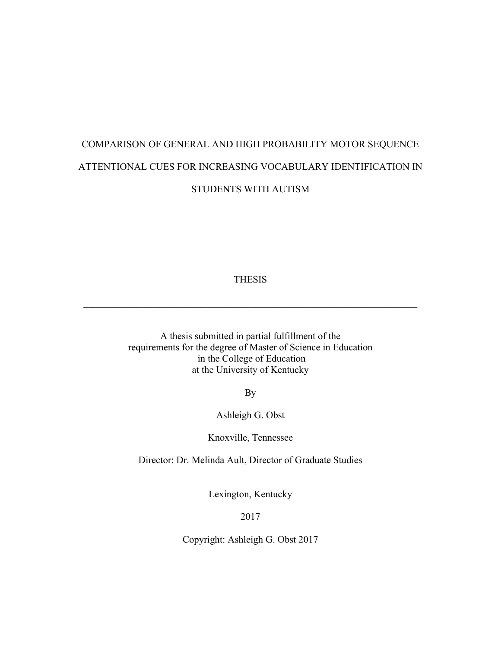# COMPARISON OF GENERAL AND HIGH PROBABILITY MOTOR SEQUENCE ATTENTIONAL CUES FOR INCREASING VOCABULARY IDENTIFICATION IN STUDENTS WITH AUTISM

THESIS

 $\mathcal{L}_\mathcal{L} = \{ \mathcal{L}_\mathcal{L} = \{ \mathcal{L}_\mathcal{L} = \{ \mathcal{L}_\mathcal{L} = \{ \mathcal{L}_\mathcal{L} = \{ \mathcal{L}_\mathcal{L} = \{ \mathcal{L}_\mathcal{L} = \{ \mathcal{L}_\mathcal{L} = \{ \mathcal{L}_\mathcal{L} = \{ \mathcal{L}_\mathcal{L} = \{ \mathcal{L}_\mathcal{L} = \{ \mathcal{L}_\mathcal{L} = \{ \mathcal{L}_\mathcal{L} = \{ \mathcal{L}_\mathcal{L} = \{ \mathcal{L}_\mathcal{$ 

 $\mathcal{L}_\mathcal{L} = \{ \mathcal{L}_\mathcal{L} = \{ \mathcal{L}_\mathcal{L} = \{ \mathcal{L}_\mathcal{L} = \{ \mathcal{L}_\mathcal{L} = \{ \mathcal{L}_\mathcal{L} = \{ \mathcal{L}_\mathcal{L} = \{ \mathcal{L}_\mathcal{L} = \{ \mathcal{L}_\mathcal{L} = \{ \mathcal{L}_\mathcal{L} = \{ \mathcal{L}_\mathcal{L} = \{ \mathcal{L}_\mathcal{L} = \{ \mathcal{L}_\mathcal{L} = \{ \mathcal{L}_\mathcal{L} = \{ \mathcal{L}_\mathcal{$ 

A thesis submitted in partial fulfillment of the requirements for the degree of Master of Science in Education in the College of Education at the University of Kentucky

By

Ashleigh G. Obst

Knoxville, Tennessee

Director: Dr. Melinda Ault, Director of Graduate Studies

Lexington, Kentucky

2017

Copyright: Ashleigh G. Obst 2017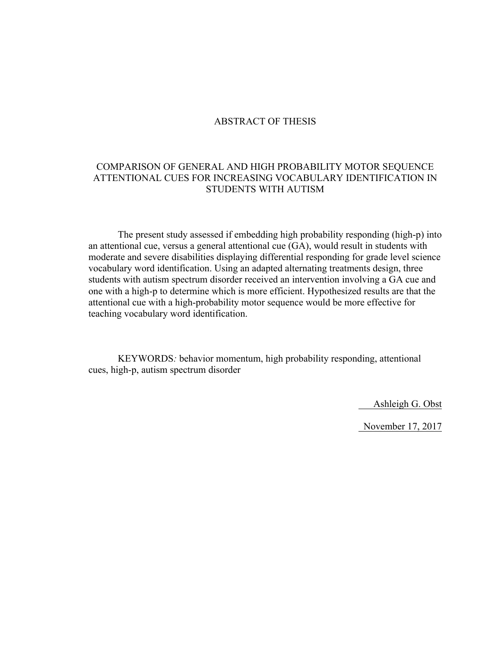#### ABSTRACT OF THESIS

## COMPARISON OF GENERAL AND HIGH PROBABILITY MOTOR SEQUENCE ATTENTIONAL CUES FOR INCREASING VOCABULARY IDENTIFICATION IN STUDENTS WITH AUTISM

The present study assessed if embedding high probability responding (high-p) into an attentional cue, versus a general attentional cue (GA), would result in students with moderate and severe disabilities displaying differential responding for grade level science vocabulary word identification. Using an adapted alternating treatments design, three students with autism spectrum disorder received an intervention involving a GA cue and one with a high-p to determine which is more efficient. Hypothesized results are that the attentional cue with a high-probability motor sequence would be more effective for teaching vocabulary word identification.

KEYWORDS*:* behavior momentum, high probability responding, attentional cues, high-p, autism spectrum disorder

Ashleigh G. Obst

November 17, 2017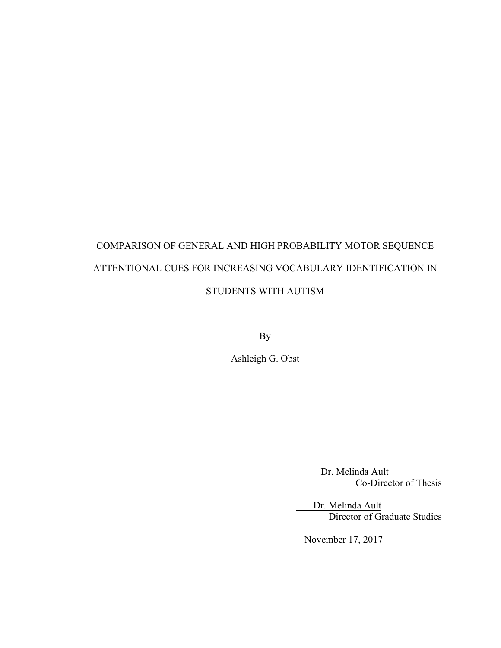# COMPARISON OF GENERAL AND HIGH PROBABILITY MOTOR SEQUENCE ATTENTIONAL CUES FOR INCREASING VOCABULARY IDENTIFICATION IN STUDENTS WITH AUTISM

By

Ashleigh G. Obst

 Dr. Melinda Ault Co-Director of Thesis

 Dr. Melinda Ault Director of Graduate Studies

November 17, 2017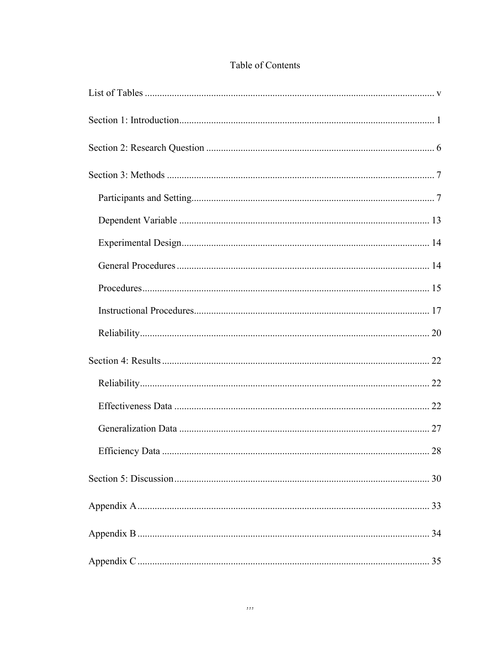|  | Table of Contents |
|--|-------------------|
|  |                   |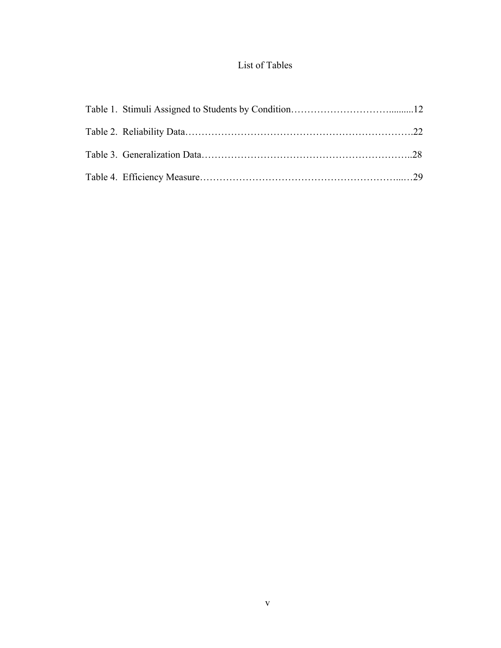# List of Tables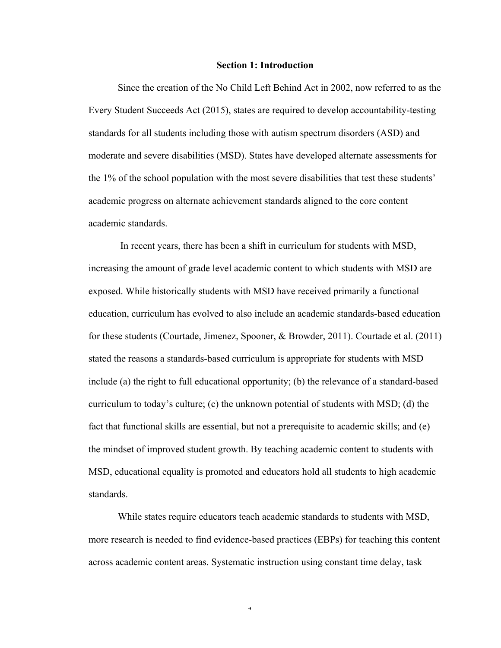#### **Section 1: Introduction**

Since the creation of the No Child Left Behind Act in 2002, now referred to as the Every Student Succeeds Act (2015), states are required to develop accountability-testing standards for all students including those with autism spectrum disorders (ASD) and moderate and severe disabilities (MSD). States have developed alternate assessments for the 1% of the school population with the most severe disabilities that test these students' academic progress on alternate achievement standards aligned to the core content academic standards.

In recent years, there has been a shift in curriculum for students with MSD, increasing the amount of grade level academic content to which students with MSD are exposed. While historically students with MSD have received primarily a functional education, curriculum has evolved to also include an academic standards-based education for these students (Courtade, Jimenez, Spooner, & Browder, 2011). Courtade et al. (2011) stated the reasons a standards-based curriculum is appropriate for students with MSD include (a) the right to full educational opportunity; (b) the relevance of a standard-based curriculum to today's culture; (c) the unknown potential of students with MSD; (d) the fact that functional skills are essential, but not a prerequisite to academic skills; and (e) the mindset of improved student growth. By teaching academic content to students with MSD, educational equality is promoted and educators hold all students to high academic standards.

While states require educators teach academic standards to students with MSD, more research is needed to find evidence-based practices (EBPs) for teaching this content across academic content areas. Systematic instruction using constant time delay, task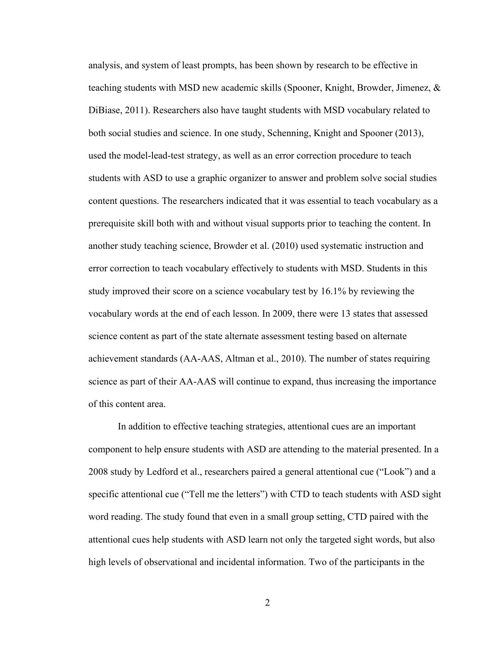analysis, and system of least prompts, has been shown by research to be effective in teaching students with MSD new academic skills (Spooner, Knight, Browder, Jimenez, & DiBiase, 2011). Researchers also have taught students with MSD vocabulary related to both social studies and science. In one study, Schenning, Knight and Spooner (2013), used the model-lead-test strategy, as well as an error correction procedure to teach students with ASD to use a graphic organizer to answer and problem solve social studies content questions. The researchers indicated that it was essential to teach vocabulary as a prerequisite skill both with and without visual supports prior to teaching the content. In another study teaching science, Browder et al. (2010) used systematic instruction and error correction to teach vocabulary effectively to students with MSD. Students in this study improved their score on a science vocabulary test by 16.1% by reviewing the vocabulary words at the end of each lesson. In 2009, there were 13 states that assessed science content as part of the state alternate assessment testing based on alternate achievement standards (AA-AAS, Altman et al., 2010). The number of states requiring science as part of their AA-AAS will continue to expand, thus increasing the importance of this content area.

In addition to effective teaching strategies, attentional cues are an important component to help ensure students with ASD are attending to the material presented. In a 2008 study by Ledford et al., researchers paired a general attentional cue ("Look") and a specific attentional cue ("Tell me the letters") with CTD to teach students with ASD sight word reading. The study found that even in a small group setting, CTD paired with the attentional cues help students with ASD learn not only the targeted sight words, but also high levels of observational and incidental information. Two of the participants in the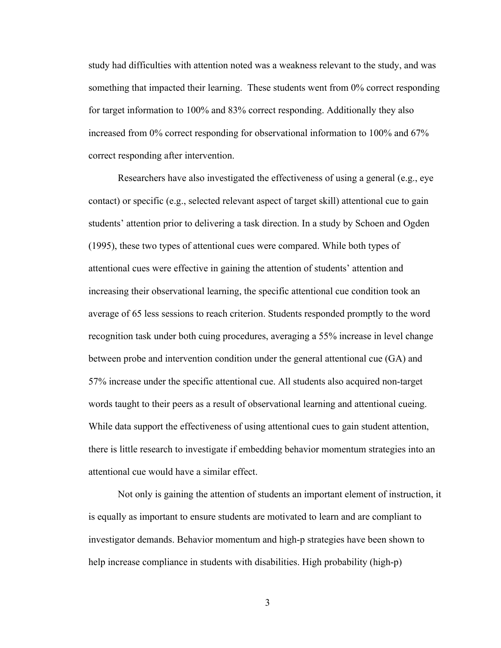study had difficulties with attention noted was a weakness relevant to the study, and was something that impacted their learning. These students went from 0% correct responding for target information to 100% and 83% correct responding. Additionally they also increased from 0% correct responding for observational information to 100% and 67% correct responding after intervention.

Researchers have also investigated the effectiveness of using a general (e.g., eye contact) or specific (e.g., selected relevant aspect of target skill) attentional cue to gain students' attention prior to delivering a task direction. In a study by Schoen and Ogden (1995), these two types of attentional cues were compared. While both types of attentional cues were effective in gaining the attention of students' attention and increasing their observational learning, the specific attentional cue condition took an average of 65 less sessions to reach criterion. Students responded promptly to the word recognition task under both cuing procedures, averaging a 55% increase in level change between probe and intervention condition under the general attentional cue (GA) and 57% increase under the specific attentional cue. All students also acquired non-target words taught to their peers as a result of observational learning and attentional cueing. While data support the effectiveness of using attentional cues to gain student attention, there is little research to investigate if embedding behavior momentum strategies into an attentional cue would have a similar effect.

Not only is gaining the attention of students an important element of instruction, it is equally as important to ensure students are motivated to learn and are compliant to investigator demands. Behavior momentum and high-p strategies have been shown to help increase compliance in students with disabilities. High probability (high-p)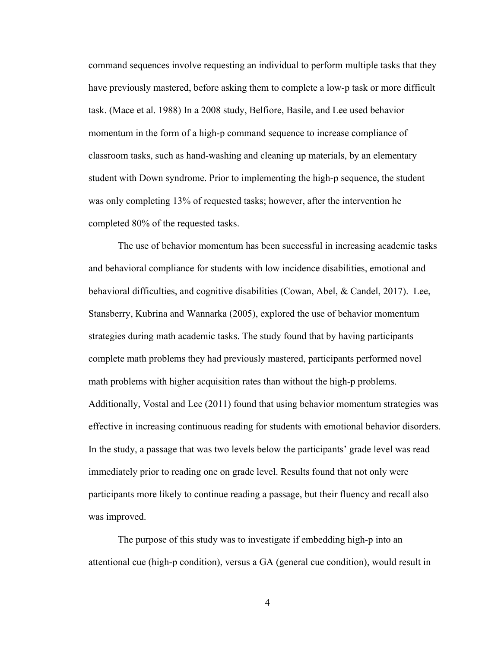command sequences involve requesting an individual to perform multiple tasks that they have previously mastered, before asking them to complete a low-p task or more difficult task. (Mace et al. 1988) In a 2008 study, Belfiore, Basile, and Lee used behavior momentum in the form of a high-p command sequence to increase compliance of classroom tasks, such as hand-washing and cleaning up materials, by an elementary student with Down syndrome. Prior to implementing the high-p sequence, the student was only completing 13% of requested tasks; however, after the intervention he completed 80% of the requested tasks.

The use of behavior momentum has been successful in increasing academic tasks and behavioral compliance for students with low incidence disabilities, emotional and behavioral difficulties, and cognitive disabilities (Cowan, Abel, & Candel, 2017). Lee, Stansberry, Kubrina and Wannarka (2005), explored the use of behavior momentum strategies during math academic tasks. The study found that by having participants complete math problems they had previously mastered, participants performed novel math problems with higher acquisition rates than without the high-p problems. Additionally, Vostal and Lee (2011) found that using behavior momentum strategies was effective in increasing continuous reading for students with emotional behavior disorders. In the study, a passage that was two levels below the participants' grade level was read immediately prior to reading one on grade level. Results found that not only were participants more likely to continue reading a passage, but their fluency and recall also was improved.

The purpose of this study was to investigate if embedding high-p into an attentional cue (high-p condition), versus a GA (general cue condition), would result in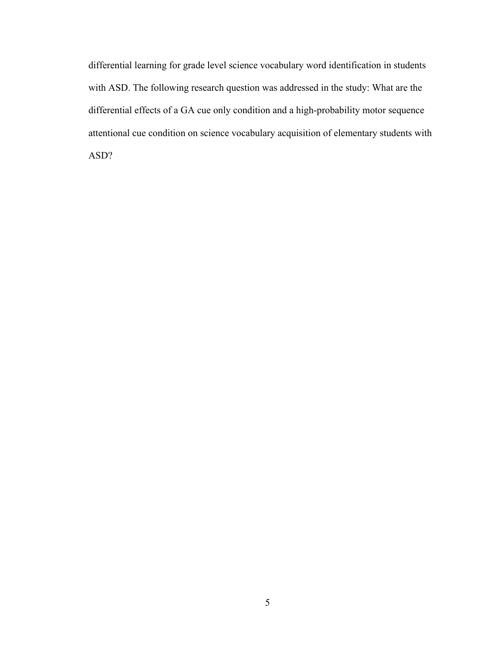differential learning for grade level science vocabulary word identification in students with ASD. The following research question was addressed in the study: What are the differential effects of a GA cue only condition and a high-probability motor sequence attentional cue condition on science vocabulary acquisition of elementary students with ASD?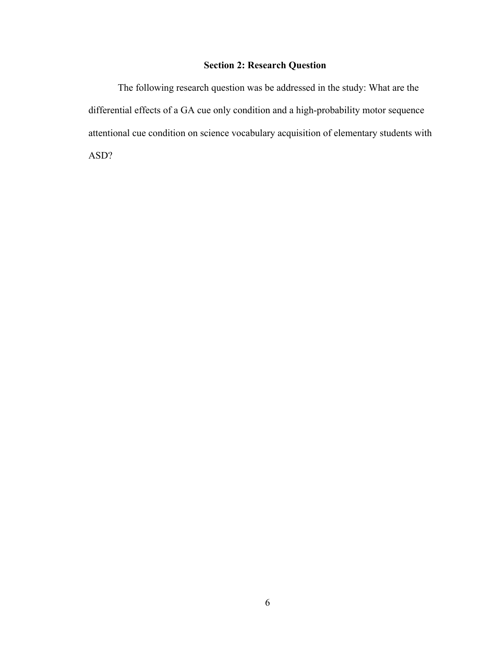## **Section 2: Research Question**

The following research question was be addressed in the study: What are the differential effects of a GA cue only condition and a high-probability motor sequence attentional cue condition on science vocabulary acquisition of elementary students with ASD?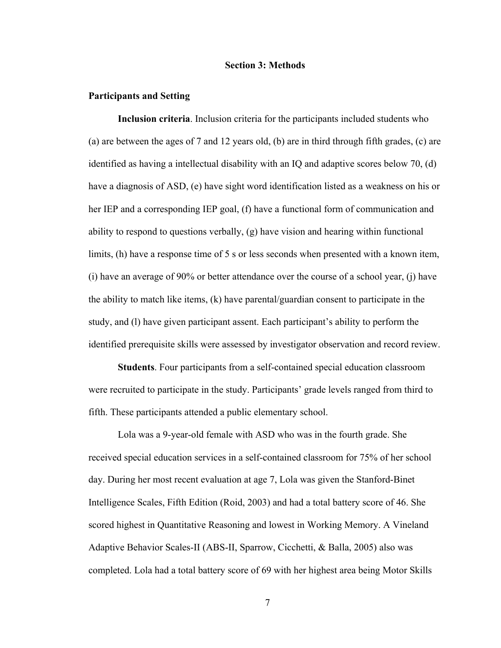#### **Section 3: Methods**

#### **Participants and Setting**

**Inclusion criteria**. Inclusion criteria for the participants included students who (a) are between the ages of 7 and 12 years old, (b) are in third through fifth grades, (c) are identified as having a intellectual disability with an IQ and adaptive scores below 70, (d) have a diagnosis of ASD, (e) have sight word identification listed as a weakness on his or her IEP and a corresponding IEP goal, (f) have a functional form of communication and ability to respond to questions verbally, (g) have vision and hearing within functional limits, (h) have a response time of 5 s or less seconds when presented with a known item, (i) have an average of 90% or better attendance over the course of a school year, (j) have the ability to match like items,  $(k)$  have parental/guardian consent to participate in the study, and (l) have given participant assent. Each participant's ability to perform the identified prerequisite skills were assessed by investigator observation and record review.

**Students**. Four participants from a self-contained special education classroom were recruited to participate in the study. Participants' grade levels ranged from third to fifth. These participants attended a public elementary school.

Lola was a 9-year-old female with ASD who was in the fourth grade. She received special education services in a self-contained classroom for 75% of her school day. During her most recent evaluation at age 7, Lola was given the Stanford-Binet Intelligence Scales, Fifth Edition (Roid, 2003) and had a total battery score of 46. She scored highest in Quantitative Reasoning and lowest in Working Memory. A Vineland Adaptive Behavior Scales-II (ABS-II, Sparrow, Cicchetti, & Balla, 2005) also was completed. Lola had a total battery score of 69 with her highest area being Motor Skills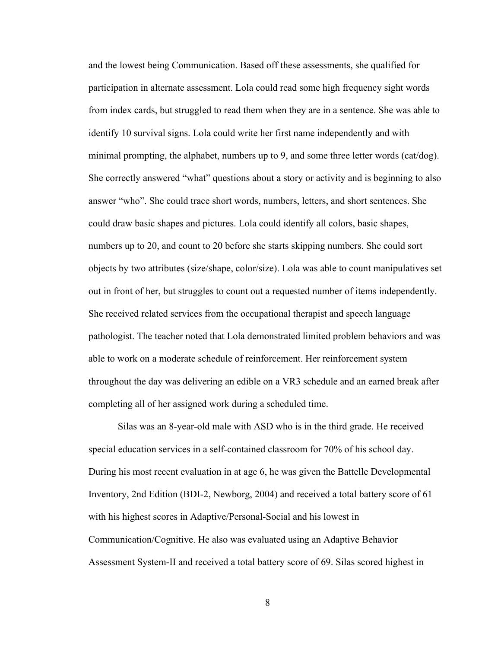and the lowest being Communication. Based off these assessments, she qualified for participation in alternate assessment. Lola could read some high frequency sight words from index cards, but struggled to read them when they are in a sentence. She was able to identify 10 survival signs. Lola could write her first name independently and with minimal prompting, the alphabet, numbers up to 9, and some three letter words (cat/dog). She correctly answered "what" questions about a story or activity and is beginning to also answer "who". She could trace short words, numbers, letters, and short sentences. She could draw basic shapes and pictures. Lola could identify all colors, basic shapes, numbers up to 20, and count to 20 before she starts skipping numbers. She could sort objects by two attributes (size/shape, color/size). Lola was able to count manipulatives set out in front of her, but struggles to count out a requested number of items independently. She received related services from the occupational therapist and speech language pathologist. The teacher noted that Lola demonstrated limited problem behaviors and was able to work on a moderate schedule of reinforcement. Her reinforcement system throughout the day was delivering an edible on a VR3 schedule and an earned break after completing all of her assigned work during a scheduled time.

Silas was an 8-year-old male with ASD who is in the third grade. He received special education services in a self-contained classroom for 70% of his school day. During his most recent evaluation in at age 6, he was given the Battelle Developmental Inventory, 2nd Edition (BDI-2, Newborg, 2004) and received a total battery score of 61 with his highest scores in Adaptive/Personal-Social and his lowest in Communication/Cognitive. He also was evaluated using an Adaptive Behavior Assessment System-II and received a total battery score of 69. Silas scored highest in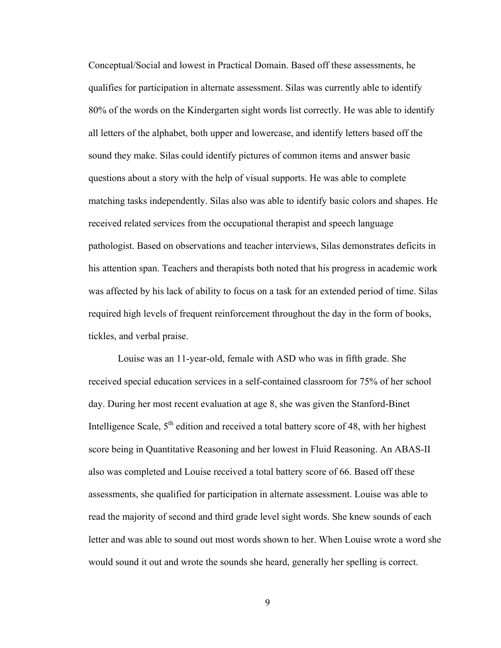Conceptual/Social and lowest in Practical Domain. Based off these assessments, he qualifies for participation in alternate assessment. Silas was currently able to identify 80% of the words on the Kindergarten sight words list correctly. He was able to identify all letters of the alphabet, both upper and lowercase, and identify letters based off the sound they make. Silas could identify pictures of common items and answer basic questions about a story with the help of visual supports. He was able to complete matching tasks independently. Silas also was able to identify basic colors and shapes. He received related services from the occupational therapist and speech language pathologist. Based on observations and teacher interviews, Silas demonstrates deficits in his attention span. Teachers and therapists both noted that his progress in academic work was affected by his lack of ability to focus on a task for an extended period of time. Silas required high levels of frequent reinforcement throughout the day in the form of books, tickles, and verbal praise.

Louise was an 11-year-old, female with ASD who was in fifth grade. She received special education services in a self-contained classroom for 75% of her school day. During her most recent evaluation at age 8, she was given the Stanford-Binet Intelligence Scale,  $5<sup>th</sup>$  edition and received a total battery score of 48, with her highest score being in Quantitative Reasoning and her lowest in Fluid Reasoning. An ABAS-II also was completed and Louise received a total battery score of 66. Based off these assessments, she qualified for participation in alternate assessment. Louise was able to read the majority of second and third grade level sight words. She knew sounds of each letter and was able to sound out most words shown to her. When Louise wrote a word she would sound it out and wrote the sounds she heard, generally her spelling is correct.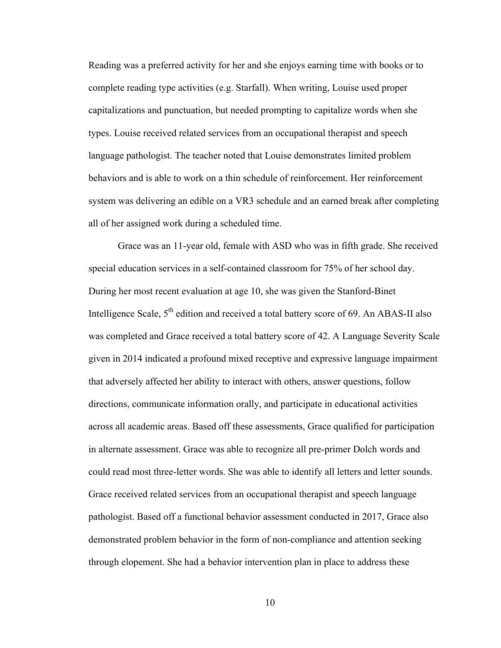Reading was a preferred activity for her and she enjoys earning time with books or to complete reading type activities (e.g. Starfall). When writing, Louise used proper capitalizations and punctuation, but needed prompting to capitalize words when she types. Louise received related services from an occupational therapist and speech language pathologist. The teacher noted that Louise demonstrates limited problem behaviors and is able to work on a thin schedule of reinforcement. Her reinforcement system was delivering an edible on a VR3 schedule and an earned break after completing all of her assigned work during a scheduled time.

Grace was an 11-year old, female with ASD who was in fifth grade. She received special education services in a self-contained classroom for 75% of her school day. During her most recent evaluation at age 10, she was given the Stanford-Binet Intelligence Scale,  $5<sup>th</sup>$  edition and received a total battery score of 69. An ABAS-II also was completed and Grace received a total battery score of 42. A Language Severity Scale given in 2014 indicated a profound mixed receptive and expressive language impairment that adversely affected her ability to interact with others, answer questions, follow directions, communicate information orally, and participate in educational activities across all academic areas. Based off these assessments, Grace qualified for participation in alternate assessment. Grace was able to recognize all pre-primer Dolch words and could read most three-letter words. She was able to identify all letters and letter sounds. Grace received related services from an occupational therapist and speech language pathologist. Based off a functional behavior assessment conducted in 2017, Grace also demonstrated problem behavior in the form of non-compliance and attention seeking through elopement. She had a behavior intervention plan in place to address these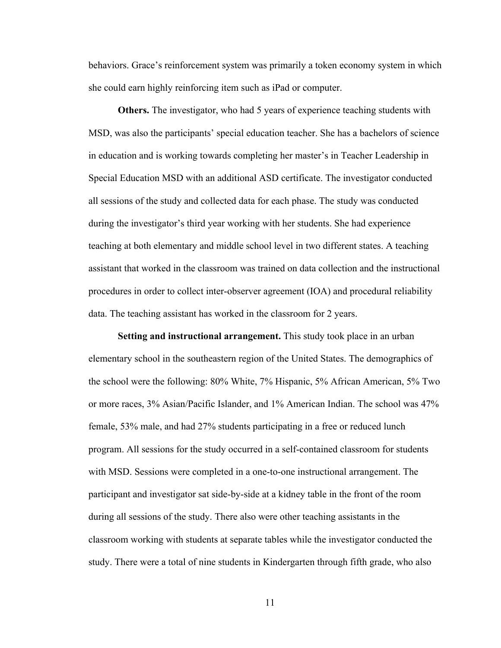behaviors. Grace's reinforcement system was primarily a token economy system in which she could earn highly reinforcing item such as iPad or computer.

**Others.** The investigator, who had 5 years of experience teaching students with MSD, was also the participants' special education teacher. She has a bachelors of science in education and is working towards completing her master's in Teacher Leadership in Special Education MSD with an additional ASD certificate. The investigator conducted all sessions of the study and collected data for each phase. The study was conducted during the investigator's third year working with her students. She had experience teaching at both elementary and middle school level in two different states. A teaching assistant that worked in the classroom was trained on data collection and the instructional procedures in order to collect inter-observer agreement (IOA) and procedural reliability data. The teaching assistant has worked in the classroom for 2 years.

**Setting and instructional arrangement.** This study took place in an urban elementary school in the southeastern region of the United States. The demographics of the school were the following: 80% White, 7% Hispanic, 5% African American, 5% Two or more races, 3% Asian/Pacific Islander, and 1% American Indian. The school was 47% female, 53% male, and had 27% students participating in a free or reduced lunch program. All sessions for the study occurred in a self-contained classroom for students with MSD. Sessions were completed in a one-to-one instructional arrangement. The participant and investigator sat side-by-side at a kidney table in the front of the room during all sessions of the study. There also were other teaching assistants in the classroom working with students at separate tables while the investigator conducted the study. There were a total of nine students in Kindergarten through fifth grade, who also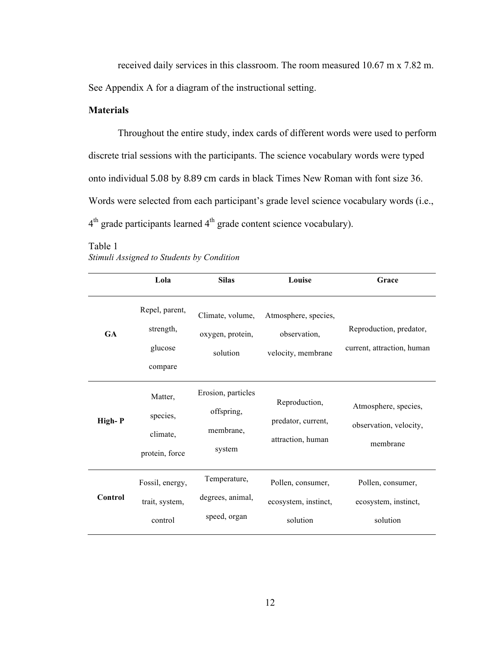received daily services in this classroom. The room measured 10.67 m x 7.82 m. See Appendix A for a diagram of the instructional setting.

### **Materials**

Throughout the entire study, index cards of different words were used to perform discrete trial sessions with the participants. The science vocabulary words were typed onto individual 5.08 by 8.89 cm cards in black Times New Roman with font size 36. Words were selected from each participant's grade level science vocabulary words (i.e., 4<sup>th</sup> grade participants learned 4<sup>th</sup> grade content science vocabulary).

|           | Lola                                              | <b>Silas</b>                                            | Louise                                                     | Grace                                                      |
|-----------|---------------------------------------------------|---------------------------------------------------------|------------------------------------------------------------|------------------------------------------------------------|
| <b>GA</b> | Repel, parent,<br>strength,<br>glucose<br>compare | Climate, volume,<br>oxygen, protein,<br>solution        | Atmosphere, species,<br>observation,<br>velocity, membrane | Reproduction, predator,<br>current, attraction, human      |
| High-P    | Matter,<br>species,<br>climate,<br>protein, force | Erosion, particles<br>offspring,<br>membrane,<br>system | Reproduction,<br>predator, current,<br>attraction, human   | Atmosphere, species,<br>observation, velocity,<br>membrane |
| Control   | Fossil, energy,<br>trait, system,<br>control      | Temperature,<br>degrees, animal,<br>speed, organ        | Pollen, consumer,<br>ecosystem, instinct,<br>solution      | Pollen, consumer,<br>ecosystem, instinct,<br>solution      |

Table 1 *Stimuli Assigned to Students by Condition*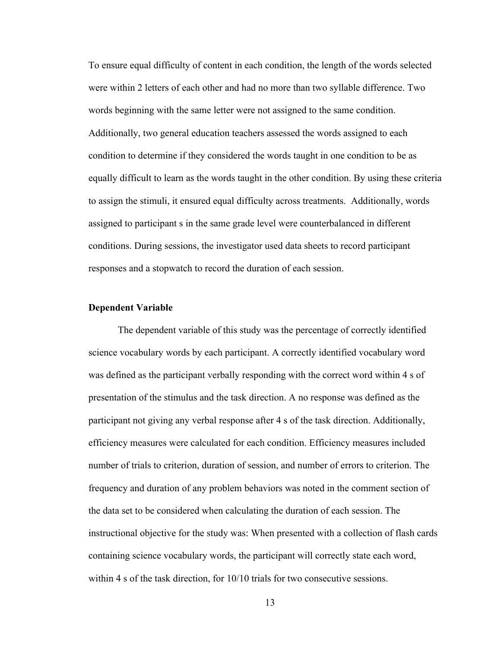To ensure equal difficulty of content in each condition, the length of the words selected were within 2 letters of each other and had no more than two syllable difference. Two words beginning with the same letter were not assigned to the same condition. Additionally, two general education teachers assessed the words assigned to each condition to determine if they considered the words taught in one condition to be as equally difficult to learn as the words taught in the other condition. By using these criteria to assign the stimuli, it ensured equal difficulty across treatments. Additionally, words assigned to participant s in the same grade level were counterbalanced in different conditions. During sessions, the investigator used data sheets to record participant responses and a stopwatch to record the duration of each session.

#### **Dependent Variable**

The dependent variable of this study was the percentage of correctly identified science vocabulary words by each participant. A correctly identified vocabulary word was defined as the participant verbally responding with the correct word within 4 s of presentation of the stimulus and the task direction. A no response was defined as the participant not giving any verbal response after 4 s of the task direction. Additionally, efficiency measures were calculated for each condition. Efficiency measures included number of trials to criterion, duration of session, and number of errors to criterion. The frequency and duration of any problem behaviors was noted in the comment section of the data set to be considered when calculating the duration of each session. The instructional objective for the study was: When presented with a collection of flash cards containing science vocabulary words, the participant will correctly state each word, within 4 s of the task direction, for  $10/10$  trials for two consecutive sessions.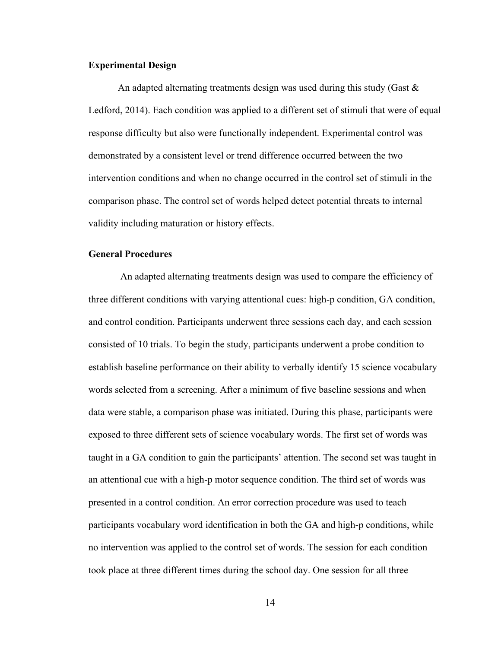#### **Experimental Design**

An adapted alternating treatments design was used during this study (Gast  $\&$ Ledford, 2014). Each condition was applied to a different set of stimuli that were of equal response difficulty but also were functionally independent. Experimental control was demonstrated by a consistent level or trend difference occurred between the two intervention conditions and when no change occurred in the control set of stimuli in the comparison phase. The control set of words helped detect potential threats to internal validity including maturation or history effects.

#### **General Procedures**

An adapted alternating treatments design was used to compare the efficiency of three different conditions with varying attentional cues: high-p condition, GA condition, and control condition. Participants underwent three sessions each day, and each session consisted of 10 trials. To begin the study, participants underwent a probe condition to establish baseline performance on their ability to verbally identify 15 science vocabulary words selected from a screening. After a minimum of five baseline sessions and when data were stable, a comparison phase was initiated. During this phase, participants were exposed to three different sets of science vocabulary words. The first set of words was taught in a GA condition to gain the participants' attention. The second set was taught in an attentional cue with a high-p motor sequence condition. The third set of words was presented in a control condition. An error correction procedure was used to teach participants vocabulary word identification in both the GA and high-p conditions, while no intervention was applied to the control set of words. The session for each condition took place at three different times during the school day. One session for all three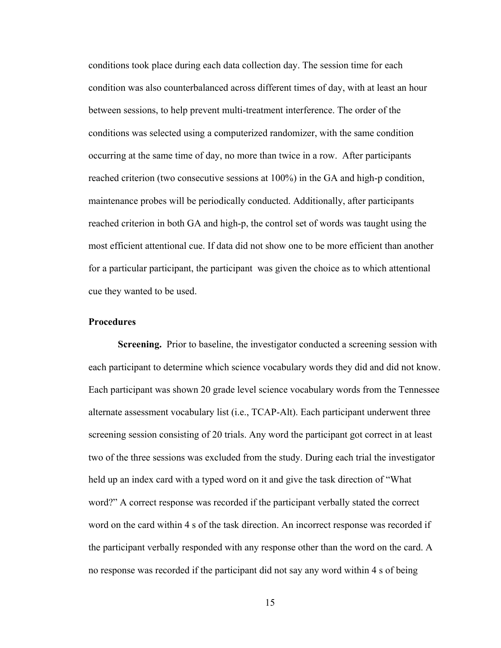conditions took place during each data collection day. The session time for each condition was also counterbalanced across different times of day, with at least an hour between sessions, to help prevent multi-treatment interference. The order of the conditions was selected using a computerized randomizer, with the same condition occurring at the same time of day, no more than twice in a row. After participants reached criterion (two consecutive sessions at 100%) in the GA and high-p condition, maintenance probes will be periodically conducted. Additionally, after participants reached criterion in both GA and high-p, the control set of words was taught using the most efficient attentional cue. If data did not show one to be more efficient than another for a particular participant, the participant was given the choice as to which attentional cue they wanted to be used.

#### **Procedures**

**Screening.** Prior to baseline, the investigator conducted a screening session with each participant to determine which science vocabulary words they did and did not know. Each participant was shown 20 grade level science vocabulary words from the Tennessee alternate assessment vocabulary list (i.e., TCAP-Alt). Each participant underwent three screening session consisting of 20 trials. Any word the participant got correct in at least two of the three sessions was excluded from the study. During each trial the investigator held up an index card with a typed word on it and give the task direction of "What word?" A correct response was recorded if the participant verbally stated the correct word on the card within 4 s of the task direction. An incorrect response was recorded if the participant verbally responded with any response other than the word on the card. A no response was recorded if the participant did not say any word within 4 s of being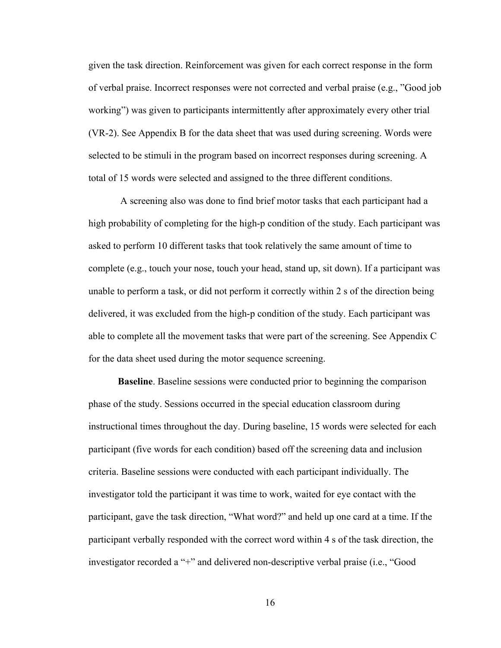given the task direction. Reinforcement was given for each correct response in the form of verbal praise. Incorrect responses were not corrected and verbal praise (e.g., "Good job working") was given to participants intermittently after approximately every other trial (VR-2). See Appendix B for the data sheet that was used during screening. Words were selected to be stimuli in the program based on incorrect responses during screening. A total of 15 words were selected and assigned to the three different conditions.

A screening also was done to find brief motor tasks that each participant had a high probability of completing for the high-p condition of the study. Each participant was asked to perform 10 different tasks that took relatively the same amount of time to complete (e.g., touch your nose, touch your head, stand up, sit down). If a participant was unable to perform a task, or did not perform it correctly within 2 s of the direction being delivered, it was excluded from the high-p condition of the study. Each participant was able to complete all the movement tasks that were part of the screening. See Appendix C for the data sheet used during the motor sequence screening.

**Baseline**. Baseline sessions were conducted prior to beginning the comparison phase of the study. Sessions occurred in the special education classroom during instructional times throughout the day. During baseline, 15 words were selected for each participant (five words for each condition) based off the screening data and inclusion criteria. Baseline sessions were conducted with each participant individually. The investigator told the participant it was time to work, waited for eye contact with the participant, gave the task direction, "What word?" and held up one card at a time. If the participant verbally responded with the correct word within 4 s of the task direction, the investigator recorded a "+" and delivered non-descriptive verbal praise (i.e., "Good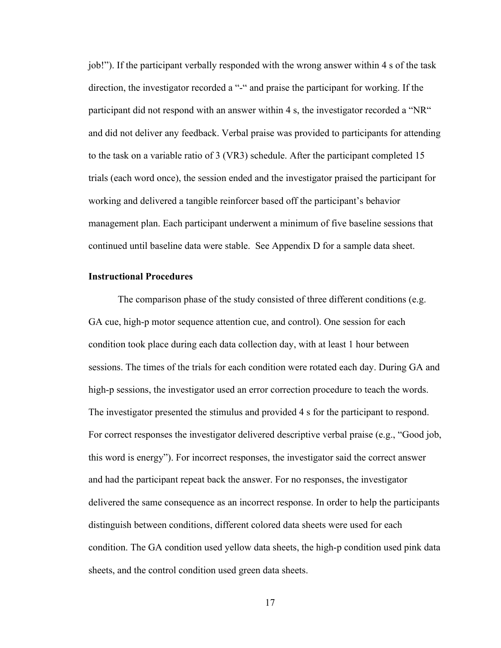job!"). If the participant verbally responded with the wrong answer within 4 s of the task direction, the investigator recorded a "-" and praise the participant for working. If the participant did not respond with an answer within 4 s, the investigator recorded a "NR" and did not deliver any feedback. Verbal praise was provided to participants for attending to the task on a variable ratio of 3 (VR3) schedule. After the participant completed 15 trials (each word once), the session ended and the investigator praised the participant for working and delivered a tangible reinforcer based off the participant's behavior management plan. Each participant underwent a minimum of five baseline sessions that continued until baseline data were stable. See Appendix D for a sample data sheet.

#### **Instructional Procedures**

The comparison phase of the study consisted of three different conditions (e.g. GA cue, high-p motor sequence attention cue, and control). One session for each condition took place during each data collection day, with at least 1 hour between sessions. The times of the trials for each condition were rotated each day. During GA and high-p sessions, the investigator used an error correction procedure to teach the words. The investigator presented the stimulus and provided 4 s for the participant to respond. For correct responses the investigator delivered descriptive verbal praise (e.g., "Good job, this word is energy"). For incorrect responses, the investigator said the correct answer and had the participant repeat back the answer. For no responses, the investigator delivered the same consequence as an incorrect response. In order to help the participants distinguish between conditions, different colored data sheets were used for each condition. The GA condition used yellow data sheets, the high-p condition used pink data sheets, and the control condition used green data sheets.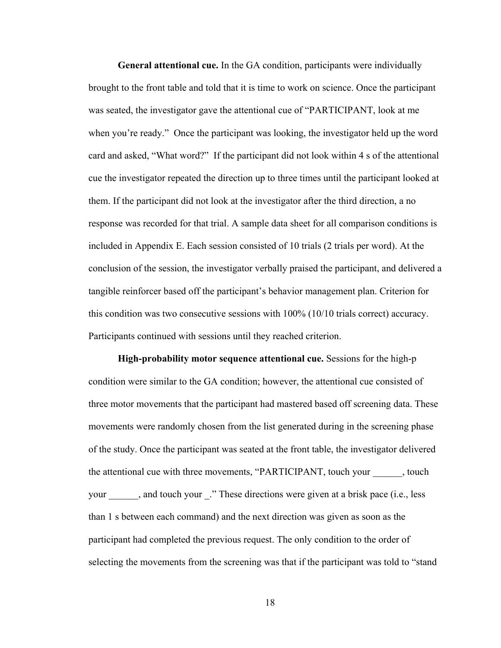**General attentional cue.** In the GA condition, participants were individually brought to the front table and told that it is time to work on science. Once the participant was seated, the investigator gave the attentional cue of "PARTICIPANT, look at me when you're ready." Once the participant was looking, the investigator held up the word card and asked, "What word?" If the participant did not look within 4 s of the attentional cue the investigator repeated the direction up to three times until the participant looked at them. If the participant did not look at the investigator after the third direction, a no response was recorded for that trial. A sample data sheet for all comparison conditions is included in Appendix E. Each session consisted of 10 trials (2 trials per word). At the conclusion of the session, the investigator verbally praised the participant, and delivered a tangible reinforcer based off the participant's behavior management plan. Criterion for this condition was two consecutive sessions with 100% (10/10 trials correct) accuracy. Participants continued with sessions until they reached criterion.

**High-probability motor sequence attentional cue.** Sessions for the high-p condition were similar to the GA condition; however, the attentional cue consisted of three motor movements that the participant had mastered based off screening data. These movements were randomly chosen from the list generated during in the screening phase of the study. Once the participant was seated at the front table, the investigator delivered the attentional cue with three movements, "PARTICIPANT, touch your \_\_\_\_\_\_, touch your \_\_\_\_\_\_, and touch your \_." These directions were given at a brisk pace (i.e., less than 1 s between each command) and the next direction was given as soon as the participant had completed the previous request. The only condition to the order of selecting the movements from the screening was that if the participant was told to "stand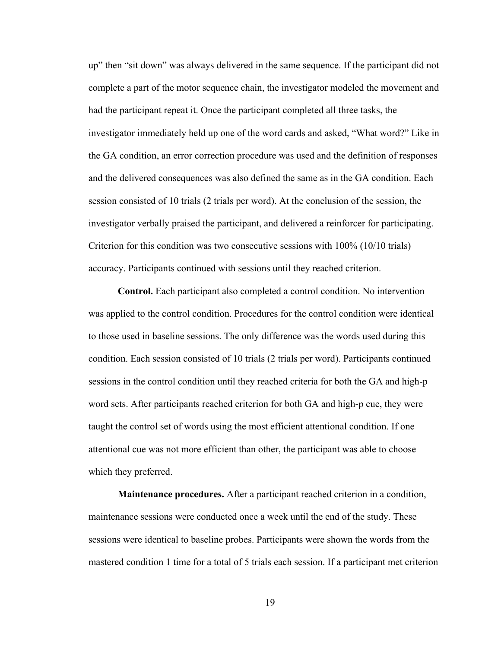up" then "sit down" was always delivered in the same sequence. If the participant did not complete a part of the motor sequence chain, the investigator modeled the movement and had the participant repeat it. Once the participant completed all three tasks, the investigator immediately held up one of the word cards and asked, "What word?" Like in the GA condition, an error correction procedure was used and the definition of responses and the delivered consequences was also defined the same as in the GA condition. Each session consisted of 10 trials (2 trials per word). At the conclusion of the session, the investigator verbally praised the participant, and delivered a reinforcer for participating. Criterion for this condition was two consecutive sessions with 100% (10/10 trials) accuracy. Participants continued with sessions until they reached criterion.

**Control.** Each participant also completed a control condition. No intervention was applied to the control condition. Procedures for the control condition were identical to those used in baseline sessions. The only difference was the words used during this condition. Each session consisted of 10 trials (2 trials per word). Participants continued sessions in the control condition until they reached criteria for both the GA and high-p word sets. After participants reached criterion for both GA and high-p cue, they were taught the control set of words using the most efficient attentional condition. If one attentional cue was not more efficient than other, the participant was able to choose which they preferred.

**Maintenance procedures.** After a participant reached criterion in a condition, maintenance sessions were conducted once a week until the end of the study. These sessions were identical to baseline probes. Participants were shown the words from the mastered condition 1 time for a total of 5 trials each session. If a participant met criterion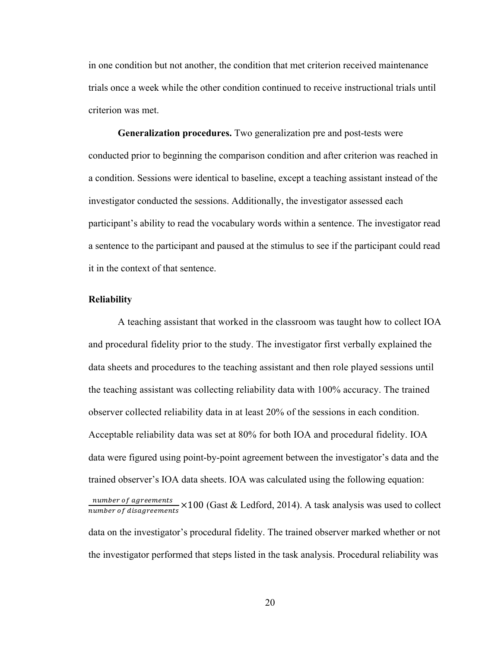in one condition but not another, the condition that met criterion received maintenance trials once a week while the other condition continued to receive instructional trials until criterion was met.

**Generalization procedures.** Two generalization pre and post-tests were conducted prior to beginning the comparison condition and after criterion was reached in a condition. Sessions were identical to baseline, except a teaching assistant instead of the investigator conducted the sessions. Additionally, the investigator assessed each participant's ability to read the vocabulary words within a sentence. The investigator read a sentence to the participant and paused at the stimulus to see if the participant could read it in the context of that sentence.

### **Reliability**

A teaching assistant that worked in the classroom was taught how to collect IOA and procedural fidelity prior to the study. The investigator first verbally explained the data sheets and procedures to the teaching assistant and then role played sessions until the teaching assistant was collecting reliability data with 100% accuracy. The trained observer collected reliability data in at least 20% of the sessions in each condition. Acceptable reliability data was set at 80% for both IOA and procedural fidelity. IOA data were figured using point-by-point agreement between the investigator's data and the trained observer's IOA data sheets. IOA was calculated using the following equation: number of agreements  $\frac{number\ of\ digreements}{number\ of\ diagram} \times 100$  (Gast & Ledford, 2014). A task analysis was used to collect data on the investigator's procedural fidelity. The trained observer marked whether or not the investigator performed that steps listed in the task analysis. Procedural reliability was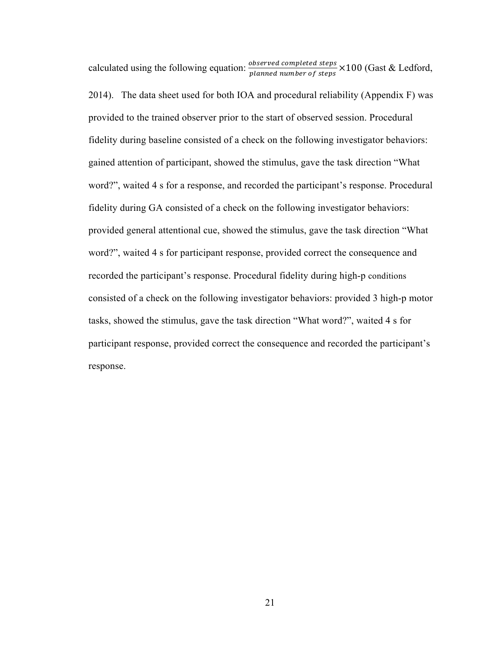calculated using the following equation:  $\frac{observed\,complete\,steps}{planned\,number\,of\,steps} \times 100$  (Gast & Ledford, 2014). The data sheet used for both IOA and procedural reliability (Appendix F) was provided to the trained observer prior to the start of observed session. Procedural fidelity during baseline consisted of a check on the following investigator behaviors: gained attention of participant, showed the stimulus, gave the task direction "What word?", waited 4 s for a response, and recorded the participant's response. Procedural fidelity during GA consisted of a check on the following investigator behaviors: provided general attentional cue, showed the stimulus, gave the task direction "What word?", waited 4 s for participant response, provided correct the consequence and recorded the participant's response. Procedural fidelity during high-p conditions consisted of a check on the following investigator behaviors: provided 3 high-p motor tasks, showed the stimulus, gave the task direction "What word?", waited 4 s for participant response, provided correct the consequence and recorded the participant's response.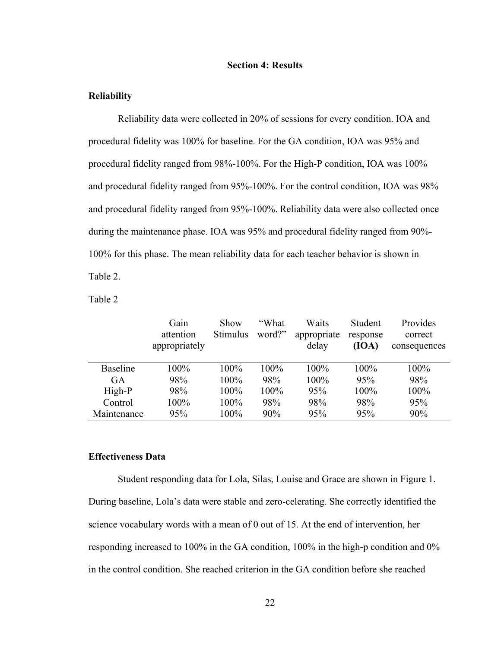#### **Section 4: Results**

#### **Reliability**

Reliability data were collected in 20% of sessions for every condition. IOA and procedural fidelity was 100% for baseline. For the GA condition, IOA was 95% and procedural fidelity ranged from 98%-100%. For the High-P condition, IOA was 100% and procedural fidelity ranged from 95%-100%. For the control condition, IOA was 98% and procedural fidelity ranged from 95%-100%. Reliability data were also collected once during the maintenance phase. IOA was 95% and procedural fidelity ranged from 90%- 100% for this phase. The mean reliability data for each teacher behavior is shown in Table 2.

Table 2

|                 | Gain<br>attention<br>appropriately | Show<br><b>Stimulus</b> | "What<br>word?" | Waits<br>appropriate<br>delay | Student<br>response<br>(IOA) | Provides<br>correct<br>consequences |
|-----------------|------------------------------------|-------------------------|-----------------|-------------------------------|------------------------------|-------------------------------------|
| <b>Baseline</b> | $100\%$                            | $100\%$                 | 100%            | 100%                          | $100\%$                      | 100%                                |
| GA              | 98%                                | 100%                    | 98%             | 100%                          | 95%                          | 98%                                 |
| High-P          | 98%                                | $100\%$                 | 100%            | 95%                           | $100\%$                      | 100%                                |
| Control         | 100%                               | 100%                    | 98%             | 98%                           | 98%                          | 95%                                 |
| Maintenance     | 95%                                | 100%                    | 90%             | 95%                           | 95%                          | 90%                                 |

## **Effectiveness Data**

Student responding data for Lola, Silas, Louise and Grace are shown in Figure 1. During baseline, Lola's data were stable and zero-celerating. She correctly identified the science vocabulary words with a mean of 0 out of 15. At the end of intervention, her responding increased to 100% in the GA condition, 100% in the high-p condition and 0% in the control condition. She reached criterion in the GA condition before she reached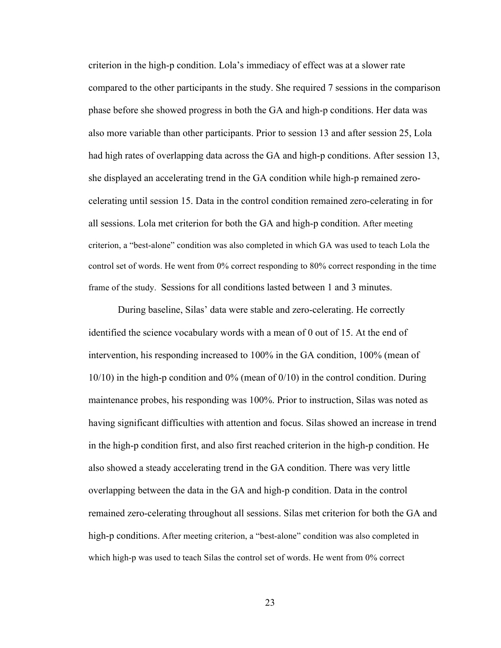criterion in the high-p condition. Lola's immediacy of effect was at a slower rate compared to the other participants in the study. She required 7 sessions in the comparison phase before she showed progress in both the GA and high-p conditions. Her data was also more variable than other participants. Prior to session 13 and after session 25, Lola had high rates of overlapping data across the GA and high-p conditions. After session 13, she displayed an accelerating trend in the GA condition while high-p remained zerocelerating until session 15. Data in the control condition remained zero-celerating in for all sessions. Lola met criterion for both the GA and high-p condition. After meeting criterion, a "best-alone" condition was also completed in which GA was used to teach Lola the control set of words. He went from 0% correct responding to 80% correct responding in the time frame of the study. Sessions for all conditions lasted between 1 and 3 minutes.

During baseline, Silas' data were stable and zero-celerating. He correctly identified the science vocabulary words with a mean of 0 out of 15. At the end of intervention, his responding increased to 100% in the GA condition, 100% (mean of 10/10) in the high-p condition and 0% (mean of 0/10) in the control condition. During maintenance probes, his responding was 100%. Prior to instruction, Silas was noted as having significant difficulties with attention and focus. Silas showed an increase in trend in the high-p condition first, and also first reached criterion in the high-p condition. He also showed a steady accelerating trend in the GA condition. There was very little overlapping between the data in the GA and high-p condition. Data in the control remained zero-celerating throughout all sessions. Silas met criterion for both the GA and high-p conditions. After meeting criterion, a "best-alone" condition was also completed in which high-p was used to teach Silas the control set of words. He went from 0% correct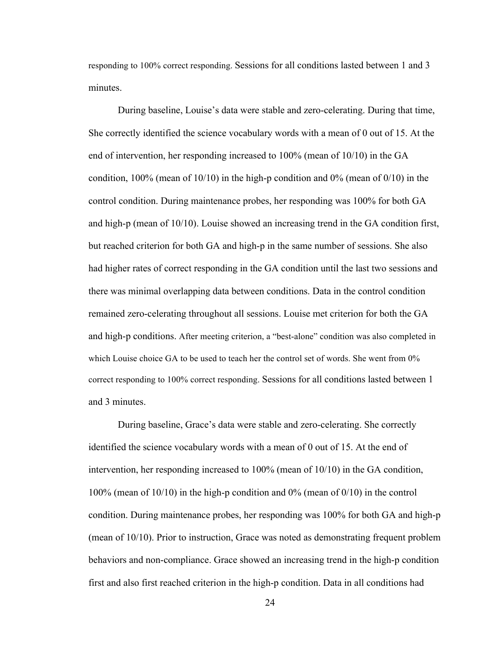responding to 100% correct responding. Sessions for all conditions lasted between 1 and 3 minutes.

During baseline, Louise's data were stable and zero-celerating. During that time, She correctly identified the science vocabulary words with a mean of 0 out of 15. At the end of intervention, her responding increased to 100% (mean of 10/10) in the GA condition, 100% (mean of 10/10) in the high-p condition and 0% (mean of 0/10) in the control condition. During maintenance probes, her responding was 100% for both GA and high-p (mean of 10/10). Louise showed an increasing trend in the GA condition first, but reached criterion for both GA and high-p in the same number of sessions. She also had higher rates of correct responding in the GA condition until the last two sessions and there was minimal overlapping data between conditions. Data in the control condition remained zero-celerating throughout all sessions. Louise met criterion for both the GA and high-p conditions. After meeting criterion, a "best-alone" condition was also completed in which Louise choice GA to be used to teach her the control set of words. She went from 0% correct responding to 100% correct responding. Sessions for all conditions lasted between 1 and 3 minutes.

During baseline, Grace's data were stable and zero-celerating. She correctly identified the science vocabulary words with a mean of 0 out of 15. At the end of intervention, her responding increased to 100% (mean of 10/10) in the GA condition, 100% (mean of 10/10) in the high-p condition and 0% (mean of 0/10) in the control condition. During maintenance probes, her responding was 100% for both GA and high-p (mean of 10/10). Prior to instruction, Grace was noted as demonstrating frequent problem behaviors and non-compliance. Grace showed an increasing trend in the high-p condition first and also first reached criterion in the high-p condition. Data in all conditions had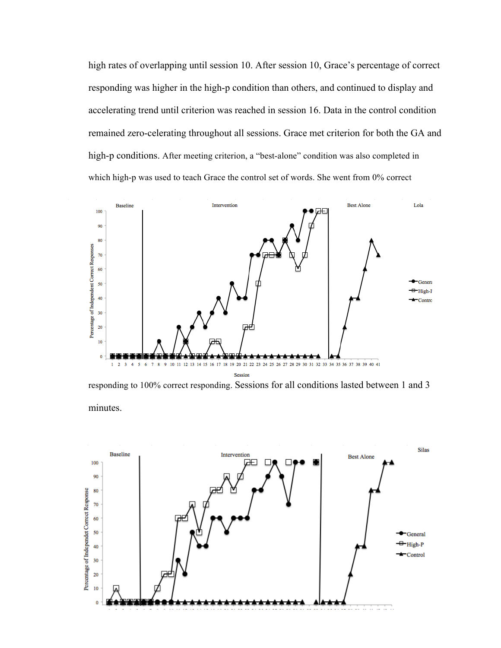high rates of overlapping until session 10. After session 10, Grace's percentage of correct responding was higher in the high-p condition than others, and continued to display and accelerating trend until criterion was reached in session 16. Data in the control condition remained zero-celerating throughout all sessions. Grace met criterion for both the GA and high-p conditions. After meeting criterion, a "best-alone" condition was also completed in which high-p was used to teach Grace the control set of words. She went from 0% correct



responding to 100% correct responding. Sessions for all conditions lasted between 1 and 3 minutes.

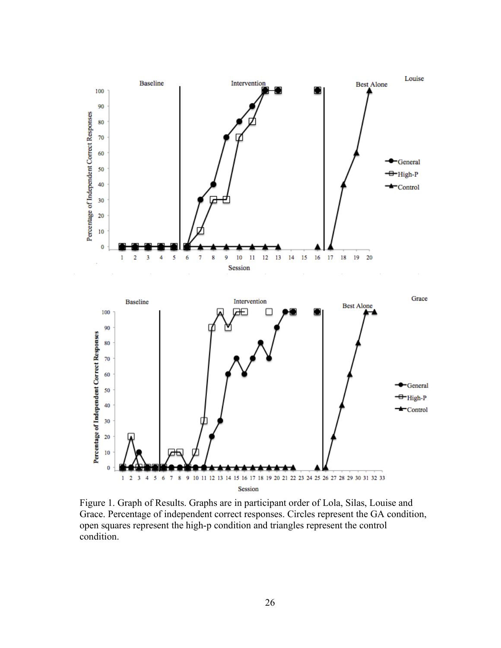

Figure 1. Graph of Results. Graphs are in participant order of Lola, Silas, Louise and Grace. Percentage of independent correct responses. Circles represent the GA condition, open squares represent the high-p condition and triangles represent the control condition.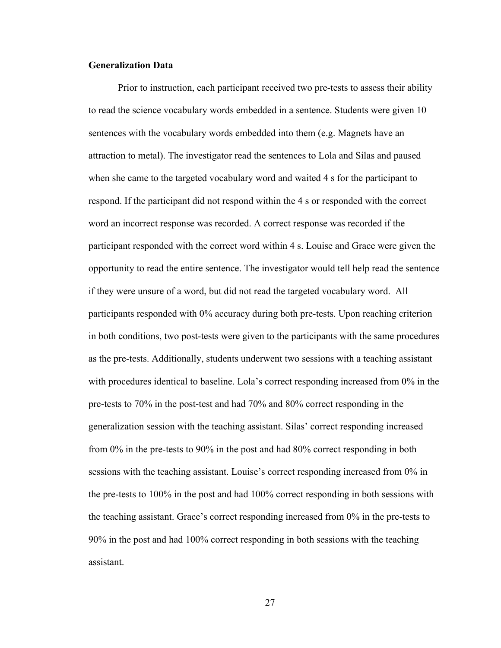#### **Generalization Data**

Prior to instruction, each participant received two pre-tests to assess their ability to read the science vocabulary words embedded in a sentence. Students were given 10 sentences with the vocabulary words embedded into them (e.g. Magnets have an attraction to metal). The investigator read the sentences to Lola and Silas and paused when she came to the targeted vocabulary word and waited 4 s for the participant to respond. If the participant did not respond within the 4 s or responded with the correct word an incorrect response was recorded. A correct response was recorded if the participant responded with the correct word within 4 s. Louise and Grace were given the opportunity to read the entire sentence. The investigator would tell help read the sentence if they were unsure of a word, but did not read the targeted vocabulary word. All participants responded with 0% accuracy during both pre-tests. Upon reaching criterion in both conditions, two post-tests were given to the participants with the same procedures as the pre-tests. Additionally, students underwent two sessions with a teaching assistant with procedures identical to baseline. Lola's correct responding increased from 0% in the pre-tests to 70% in the post-test and had 70% and 80% correct responding in the generalization session with the teaching assistant. Silas' correct responding increased from 0% in the pre-tests to 90% in the post and had 80% correct responding in both sessions with the teaching assistant. Louise's correct responding increased from 0% in the pre-tests to 100% in the post and had 100% correct responding in both sessions with the teaching assistant. Grace's correct responding increased from 0% in the pre-tests to 90% in the post and had 100% correct responding in both sessions with the teaching assistant.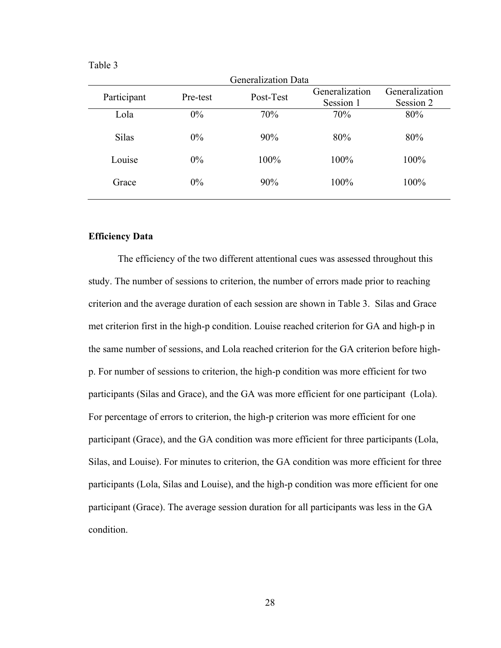| DΙ<br>₫ |  |
|---------|--|
|         |  |

|              |          | <b>Generalization Data</b> | Generalization | Generalization |
|--------------|----------|----------------------------|----------------|----------------|
| Participant  | Pre-test | Post-Test                  | Session 1      | Session 2      |
| Lola         | $0\%$    | 70%                        | 70%            | 80%            |
| <b>Silas</b> | $0\%$    | 90%                        | 80%            | 80%            |
| Louise       | $0\%$    | 100%                       | 100%           | 100%           |
| Grace        | $0\%$    | 90%                        | 100%           | 100%           |

#### **Efficiency Data**

The efficiency of the two different attentional cues was assessed throughout this study. The number of sessions to criterion, the number of errors made prior to reaching criterion and the average duration of each session are shown in Table 3. Silas and Grace met criterion first in the high-p condition. Louise reached criterion for GA and high-p in the same number of sessions, and Lola reached criterion for the GA criterion before highp. For number of sessions to criterion, the high-p condition was more efficient for two participants (Silas and Grace), and the GA was more efficient for one participant (Lola). For percentage of errors to criterion, the high-p criterion was more efficient for one participant (Grace), and the GA condition was more efficient for three participants (Lola, Silas, and Louise). For minutes to criterion, the GA condition was more efficient for three participants (Lola, Silas and Louise), and the high-p condition was more efficient for one participant (Grace). The average session duration for all participants was less in the GA condition.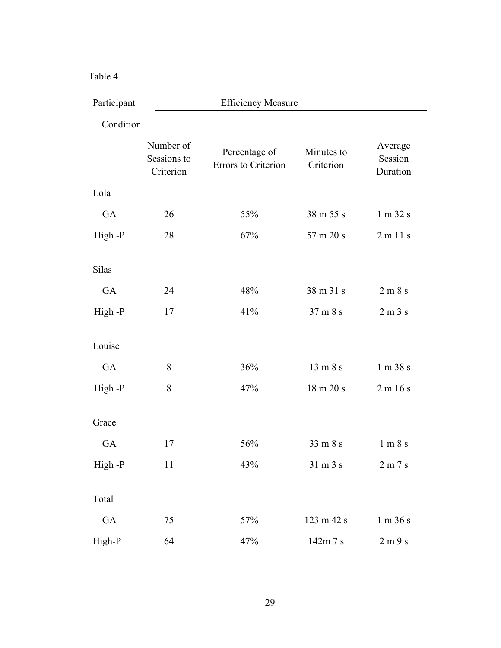#### Table 4

| Participant  | <b>Efficiency Measure</b>             |                                      |                             |                                 |  |  |  |  |  |
|--------------|---------------------------------------|--------------------------------------|-----------------------------|---------------------------------|--|--|--|--|--|
| Condition    |                                       |                                      |                             |                                 |  |  |  |  |  |
|              | Number of<br>Sessions to<br>Criterion | Percentage of<br>Errors to Criterion | Minutes to<br>Criterion     | Average<br>Session<br>Duration  |  |  |  |  |  |
| Lola         |                                       |                                      |                             |                                 |  |  |  |  |  |
| GA           | 26                                    | 55%                                  | 38 m 55 s                   | 1 m 32 s                        |  |  |  |  |  |
| High-P       | 28                                    | 67%                                  | 57 m 20 s                   | 2 m 11 s                        |  |  |  |  |  |
|              |                                       |                                      |                             |                                 |  |  |  |  |  |
| <b>Silas</b> |                                       |                                      |                             |                                 |  |  |  |  |  |
| GA           | 24                                    | 48%                                  | 38 m 31 s                   | 2 m 8 s                         |  |  |  |  |  |
| High-P       | 17                                    | 41%                                  | 37 m 8 s                    | 2 m 3 s                         |  |  |  |  |  |
|              |                                       |                                      |                             |                                 |  |  |  |  |  |
| Louise       |                                       |                                      |                             |                                 |  |  |  |  |  |
| GA           | 8                                     | 36%                                  | 13 m 8 s                    | 1 m 38 s                        |  |  |  |  |  |
| High-P       | 8                                     | 47%                                  | 18 m 20 s                   | 2 m 16 s                        |  |  |  |  |  |
|              |                                       |                                      |                             |                                 |  |  |  |  |  |
| Grace        |                                       |                                      |                             |                                 |  |  |  |  |  |
| GA           | 17                                    | 56%                                  | 33 m 8 s                    | 1 m 8 s                         |  |  |  |  |  |
| High-P       | 11                                    | 43%                                  | $31 \text{ m } 3 \text{ s}$ | $2\; \mathrm{m}\;7\;\mathrm{s}$ |  |  |  |  |  |
|              |                                       |                                      |                             |                                 |  |  |  |  |  |
| Total        |                                       |                                      |                             |                                 |  |  |  |  |  |
| GA           | 75                                    | 57%                                  | 123 m 42 s                  | 1 m 36 s                        |  |  |  |  |  |
| High-P       | 64                                    | 47%                                  | 142m 7 s                    | 2 m 9 s                         |  |  |  |  |  |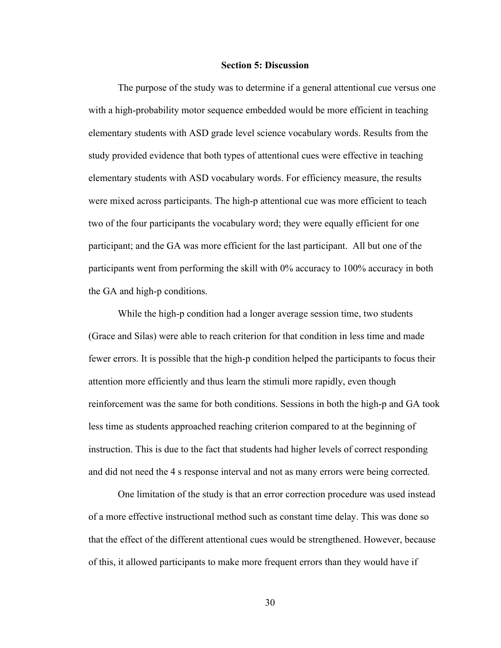#### **Section 5: Discussion**

The purpose of the study was to determine if a general attentional cue versus one with a high-probability motor sequence embedded would be more efficient in teaching elementary students with ASD grade level science vocabulary words. Results from the study provided evidence that both types of attentional cues were effective in teaching elementary students with ASD vocabulary words. For efficiency measure, the results were mixed across participants. The high-p attentional cue was more efficient to teach two of the four participants the vocabulary word; they were equally efficient for one participant; and the GA was more efficient for the last participant. All but one of the participants went from performing the skill with 0% accuracy to 100% accuracy in both the GA and high-p conditions.

While the high-p condition had a longer average session time, two students (Grace and Silas) were able to reach criterion for that condition in less time and made fewer errors. It is possible that the high-p condition helped the participants to focus their attention more efficiently and thus learn the stimuli more rapidly, even though reinforcement was the same for both conditions. Sessions in both the high-p and GA took less time as students approached reaching criterion compared to at the beginning of instruction. This is due to the fact that students had higher levels of correct responding and did not need the 4 s response interval and not as many errors were being corrected.

One limitation of the study is that an error correction procedure was used instead of a more effective instructional method such as constant time delay. This was done so that the effect of the different attentional cues would be strengthened. However, because of this, it allowed participants to make more frequent errors than they would have if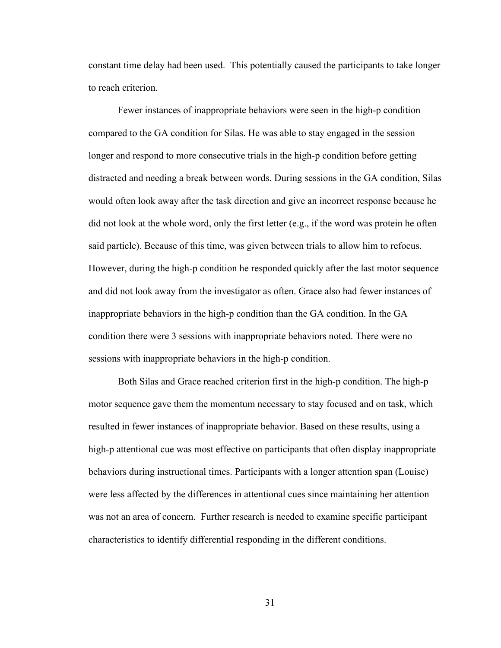constant time delay had been used. This potentially caused the participants to take longer to reach criterion.

Fewer instances of inappropriate behaviors were seen in the high-p condition compared to the GA condition for Silas. He was able to stay engaged in the session longer and respond to more consecutive trials in the high-p condition before getting distracted and needing a break between words. During sessions in the GA condition, Silas would often look away after the task direction and give an incorrect response because he did not look at the whole word, only the first letter (e.g., if the word was protein he often said particle). Because of this time, was given between trials to allow him to refocus. However, during the high-p condition he responded quickly after the last motor sequence and did not look away from the investigator as often. Grace also had fewer instances of inappropriate behaviors in the high-p condition than the GA condition. In the GA condition there were 3 sessions with inappropriate behaviors noted. There were no sessions with inappropriate behaviors in the high-p condition.

Both Silas and Grace reached criterion first in the high-p condition. The high-p motor sequence gave them the momentum necessary to stay focused and on task, which resulted in fewer instances of inappropriate behavior. Based on these results, using a high-p attentional cue was most effective on participants that often display inappropriate behaviors during instructional times. Participants with a longer attention span (Louise) were less affected by the differences in attentional cues since maintaining her attention was not an area of concern. Further research is needed to examine specific participant characteristics to identify differential responding in the different conditions.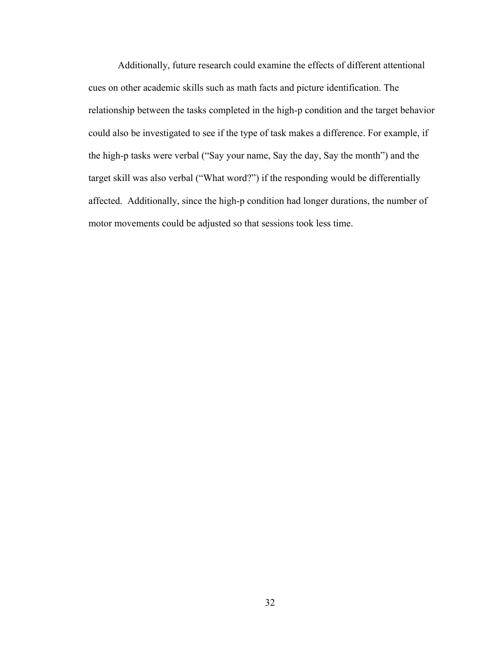Additionally, future research could examine the effects of different attentional cues on other academic skills such as math facts and picture identification. The relationship between the tasks completed in the high-p condition and the target behavior could also be investigated to see if the type of task makes a difference. For example, if the high-p tasks were verbal ("Say your name, Say the day, Say the month") and the target skill was also verbal ("What word?") if the responding would be differentially affected. Additionally, since the high-p condition had longer durations, the number of motor movements could be adjusted so that sessions took less time.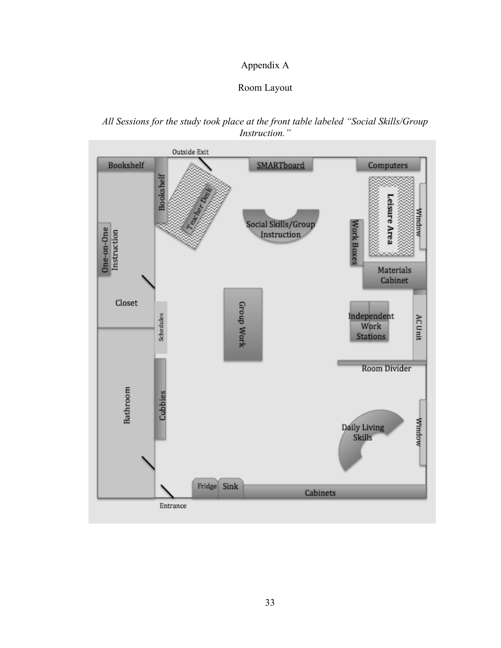# Appendix A

## Room Layout

## *All Sessions for the study took place at the front table labeled "Social Skills/Group Instruction."*

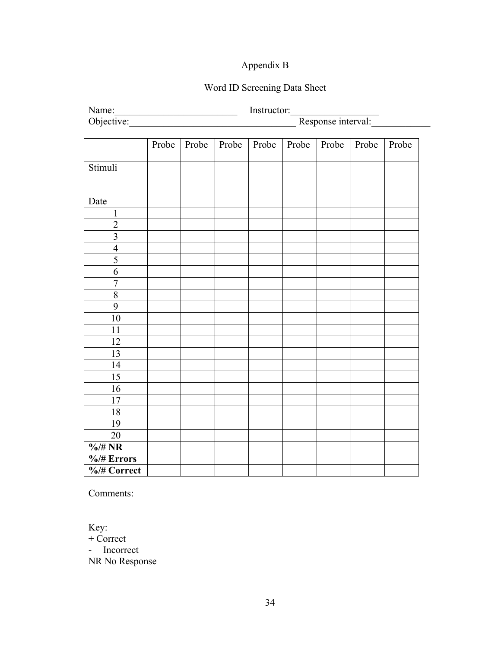# Appendix B

# Word ID Screening Data Sheet

| Name:                   | Instructor:<br><u> 1989 - Johann John Stone, mars eta bat eta bat eta bat eta bat eta bat eta bat eta bat eta bat eta bat eta b</u> |       |       |       |       |       |       |       |
|-------------------------|-------------------------------------------------------------------------------------------------------------------------------------|-------|-------|-------|-------|-------|-------|-------|
|                         | Response interval:<br>Objective:                                                                                                    |       |       |       |       |       |       |       |
|                         |                                                                                                                                     |       |       |       |       |       |       |       |
|                         | Probe                                                                                                                               | Probe | Probe | Probe | Probe | Probe | Probe | Probe |
|                         |                                                                                                                                     |       |       |       |       |       |       |       |
| Stimuli                 |                                                                                                                                     |       |       |       |       |       |       |       |
|                         |                                                                                                                                     |       |       |       |       |       |       |       |
|                         |                                                                                                                                     |       |       |       |       |       |       |       |
| Date                    |                                                                                                                                     |       |       |       |       |       |       |       |
| $\mathbf{1}$            |                                                                                                                                     |       |       |       |       |       |       |       |
| $\overline{2}$          |                                                                                                                                     |       |       |       |       |       |       |       |
| $\overline{\mathbf{3}}$ |                                                                                                                                     |       |       |       |       |       |       |       |
| $\overline{4}$          |                                                                                                                                     |       |       |       |       |       |       |       |
| 5                       |                                                                                                                                     |       |       |       |       |       |       |       |
| 6                       |                                                                                                                                     |       |       |       |       |       |       |       |
| $\overline{7}$          |                                                                                                                                     |       |       |       |       |       |       |       |
| $\overline{\bf 8}$      |                                                                                                                                     |       |       |       |       |       |       |       |
| 9                       |                                                                                                                                     |       |       |       |       |       |       |       |
| 10                      |                                                                                                                                     |       |       |       |       |       |       |       |
| 11                      |                                                                                                                                     |       |       |       |       |       |       |       |
| 12                      |                                                                                                                                     |       |       |       |       |       |       |       |
| 13                      |                                                                                                                                     |       |       |       |       |       |       |       |
| 14                      |                                                                                                                                     |       |       |       |       |       |       |       |
| 15                      |                                                                                                                                     |       |       |       |       |       |       |       |
| 16                      |                                                                                                                                     |       |       |       |       |       |       |       |
| 17                      |                                                                                                                                     |       |       |       |       |       |       |       |
| 18                      |                                                                                                                                     |       |       |       |       |       |       |       |
| 19                      |                                                                                                                                     |       |       |       |       |       |       |       |
| 20                      |                                                                                                                                     |       |       |       |       |       |       |       |
| $\%$ /# NR              |                                                                                                                                     |       |       |       |       |       |       |       |
| $\frac{6}{4}$ Errors    |                                                                                                                                     |       |       |       |       |       |       |       |
| %/# Correct             |                                                                                                                                     |       |       |       |       |       |       |       |

Comments:

Key: + Correct - Incorrect NR No Response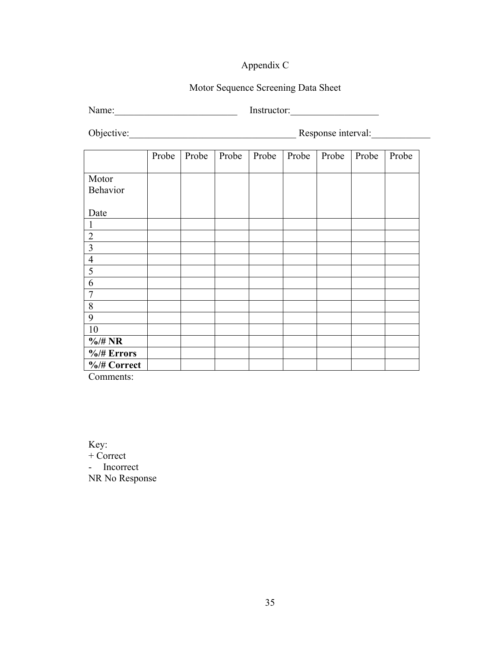# Appendix C

# Motor Sequence Screening Data Sheet

Name:\_\_\_\_\_\_\_\_\_\_\_\_\_\_\_\_\_\_\_\_\_\_\_\_\_ Instructor:\_\_\_\_\_\_\_\_\_\_\_\_\_\_\_\_\_\_

Objective:\_\_\_\_\_\_\_\_\_\_\_\_\_\_\_\_\_\_\_\_\_\_\_\_\_\_\_\_\_\_\_\_\_\_ Response interval:\_\_\_\_\_\_\_\_\_\_\_\_

|                      | Probe | Probe | Probe | Probe | Probe | Probe | Probe | Probe |
|----------------------|-------|-------|-------|-------|-------|-------|-------|-------|
| Motor                |       |       |       |       |       |       |       |       |
| Behavior             |       |       |       |       |       |       |       |       |
| Date                 |       |       |       |       |       |       |       |       |
| 1                    |       |       |       |       |       |       |       |       |
| $\overline{2}$       |       |       |       |       |       |       |       |       |
| $\overline{3}$       |       |       |       |       |       |       |       |       |
| $\overline{4}$       |       |       |       |       |       |       |       |       |
| 5                    |       |       |       |       |       |       |       |       |
| 6                    |       |       |       |       |       |       |       |       |
| $\overline{7}$       |       |       |       |       |       |       |       |       |
| 8                    |       |       |       |       |       |       |       |       |
| 9                    |       |       |       |       |       |       |       |       |
| 10                   |       |       |       |       |       |       |       |       |
| $\frac{6}{4}$ NR     |       |       |       |       |       |       |       |       |
| $\frac{6}{4}$ Errors |       |       |       |       |       |       |       |       |
| %/# Correct          |       |       |       |       |       |       |       |       |

Comments:

Key: + Correct - Incorrect NR No Response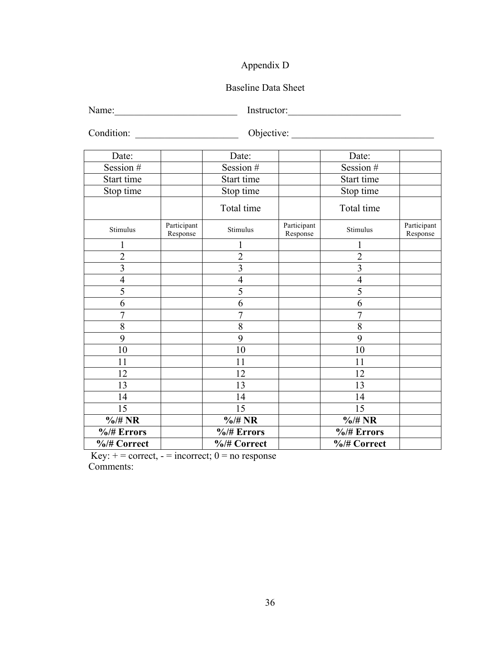# Appendix D

### Baseline Data Sheet

Name:\_\_\_\_\_\_\_\_\_\_\_\_\_\_\_\_\_\_\_\_\_\_\_\_\_ Instructor:\_\_\_\_\_\_\_\_\_\_\_\_\_\_\_\_\_\_\_\_\_\_\_

Condition: \_\_\_\_\_\_\_\_\_\_\_\_\_\_\_\_\_\_\_\_\_ Objective: \_\_\_\_\_\_\_\_\_\_\_\_\_\_\_\_\_\_\_\_\_\_\_\_\_\_\_\_\_

| Date:                |                         | Date:                |                         | Date:                |                         |
|----------------------|-------------------------|----------------------|-------------------------|----------------------|-------------------------|
| Session #            |                         | Session #            |                         | Session #            |                         |
| Start time           |                         | Start time           |                         | Start time           |                         |
| Stop time            |                         | Stop time            |                         | Stop time            |                         |
|                      |                         | Total time           |                         | Total time           |                         |
| Stimulus             | Participant<br>Response | Stimulus             | Participant<br>Response | Stimulus             | Participant<br>Response |
| 1                    |                         |                      |                         |                      |                         |
| $\overline{2}$       |                         | $\overline{c}$       |                         | $\overline{2}$       |                         |
| 3                    |                         | 3                    |                         | $\overline{3}$       |                         |
| $\overline{4}$       |                         | $\overline{4}$       |                         | $\overline{4}$       |                         |
| 5                    |                         | 5                    |                         | 5                    |                         |
| 6                    |                         | 6                    |                         | 6                    |                         |
| $\overline{7}$       |                         | 7                    |                         | 7                    |                         |
| 8                    |                         | 8                    |                         | 8                    |                         |
| 9                    |                         | 9                    |                         | 9                    |                         |
| 10                   |                         | 10                   |                         | 10                   |                         |
| 11                   |                         | 11                   |                         | 11                   |                         |
| 12                   |                         | 12                   |                         | 12                   |                         |
| 13                   |                         | 13                   |                         | 13                   |                         |
| 14                   |                         | 14                   |                         | 14                   |                         |
| 15                   |                         | 15                   |                         | 15                   |                         |
| $\frac{4}{10}$ /# NR |                         | $\frac{4}{10}$ /# NR |                         | $\frac{4}{10}$ /# NR |                         |
| $\frac{6}{4}$ Errors |                         | $\frac{6}{4}$ Errors |                         | $\frac{6}{4}$ Errors |                         |
| %/# Correct          |                         | %/# Correct          |                         | %/# Correct          |                         |

Key:  $+=$  correct,  $=$  incorrect;  $0=$  no response Comments: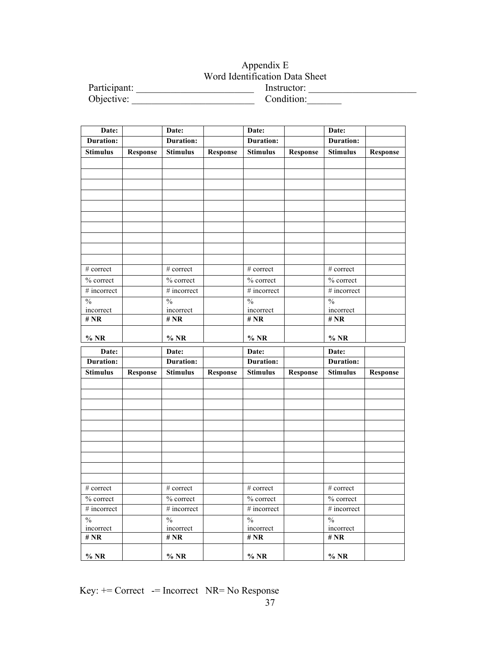## Appendix E Word Identification Data Sheet Participant: The extension of the extension of the extension of the extension of the extension of the extension of the extension of the extension of the extension of the extension of the extension of the extension of the e Objective: Condition:

| Date:                       |                 | Date:                       |                 | Date:                       |                 | Date:                       |                 |
|-----------------------------|-----------------|-----------------------------|-----------------|-----------------------------|-----------------|-----------------------------|-----------------|
| Duration:                   |                 | <b>Duration:</b>            |                 | <b>Duration:</b>            |                 | <b>Duration:</b>            |                 |
| <b>Stimulus</b>             | Response        | <b>Stimulus</b>             | <b>Response</b> | <b>Stimulus</b>             | <b>Response</b> | <b>Stimulus</b>             | Response        |
|                             |                 |                             |                 |                             |                 |                             |                 |
|                             |                 |                             |                 |                             |                 |                             |                 |
|                             |                 |                             |                 |                             |                 |                             |                 |
|                             |                 |                             |                 |                             |                 |                             |                 |
|                             |                 |                             |                 |                             |                 |                             |                 |
|                             |                 |                             |                 |                             |                 |                             |                 |
|                             |                 |                             |                 |                             |                 |                             |                 |
|                             |                 |                             |                 |                             |                 |                             |                 |
|                             |                 |                             |                 |                             |                 |                             |                 |
|                             |                 |                             |                 |                             |                 |                             |                 |
| # correct                   |                 | # correct                   |                 | # correct                   |                 | # correct                   |                 |
| % correct                   |                 | % correct                   |                 | % correct                   |                 | % correct                   |                 |
| $#$ incorrect               |                 | # incorrect                 |                 | # incorrect                 |                 | # incorrect                 |                 |
| $\overline{\frac{0}{6}}$    |                 | $\%$                        |                 | $\overline{\frac{0}{6}}$    |                 | $\frac{0}{6}$               |                 |
| incorrect                   |                 | incorrect                   |                 | incorrect                   |                 | incorrect                   |                 |
| # $\bf NR$                  |                 | # $NR$                      |                 | # $NR$                      |                 | # $NR$                      |                 |
| $%$ NR                      |                 | $%$ NR                      |                 | $%$ NR                      |                 | $%$ NR                      |                 |
|                             |                 |                             |                 |                             |                 |                             |                 |
| Date:<br><b>Duration:</b>   |                 | Date:<br><b>Duration:</b>   |                 | Date:<br><b>Duration:</b>   |                 | Date:<br><b>Duration:</b>   |                 |
| <b>Stimulus</b>             |                 | <b>Stimulus</b>             |                 | <b>Stimulus</b>             |                 | <b>Stimulus</b>             |                 |
|                             | <b>Response</b> |                             | <b>Response</b> |                             | <b>Response</b> |                             | <b>Response</b> |
|                             |                 |                             |                 |                             |                 |                             |                 |
|                             |                 |                             |                 |                             |                 |                             |                 |
|                             |                 |                             |                 |                             |                 |                             |                 |
|                             |                 |                             |                 |                             |                 |                             |                 |
|                             |                 |                             |                 |                             |                 |                             |                 |
|                             |                 |                             |                 |                             |                 |                             |                 |
|                             |                 |                             |                 |                             |                 |                             |                 |
|                             |                 |                             |                 |                             |                 |                             |                 |
|                             |                 |                             |                 |                             |                 |                             |                 |
|                             |                 |                             |                 |                             |                 |                             |                 |
|                             |                 |                             |                 |                             |                 |                             |                 |
| # correct                   |                 | # correct                   |                 | # correct                   |                 | # correct                   |                 |
| $\%$ correct<br># incorrect |                 | $\%$ correct<br># incorrect |                 | $\%$ correct<br># incorrect |                 | $\%$ correct<br># incorrect |                 |
| $\frac{0}{0}$               |                 | $\frac{0}{0}$               |                 | $\overline{\frac{0}{0}}$    |                 | $\frac{0}{0}$               |                 |
| incorrect                   |                 | incorrect                   |                 | incorrect                   |                 | incorrect                   |                 |
| # $NR$                      |                 | # $NR$                      |                 | # $NR$                      |                 | # $NR$                      |                 |
| $%$ NR                      |                 | $%$ NR                      |                 | $\%$ NR                     |                 | $\%$ NR                     |                 |

 $Key: += Correct -= Incorrect \ NP = No Response$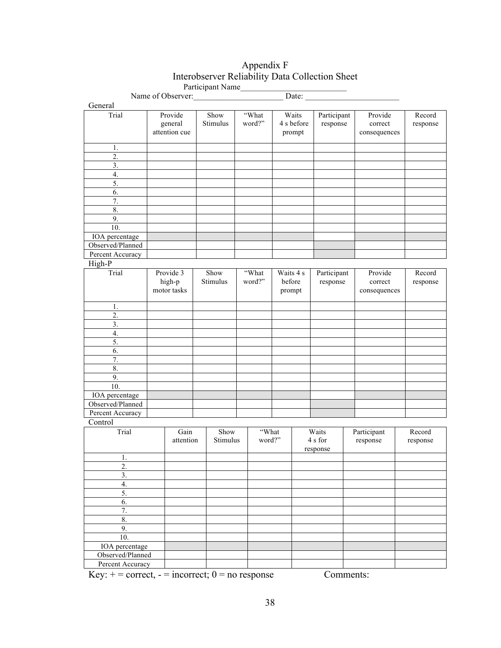# Appendix F Interobserver Reliability Data Collection Sheet

|                  |  |                    |  | Participant Name |  |        |           |              |             |         |              |          |          |
|------------------|--|--------------------|--|------------------|--|--------|-----------|--------------|-------------|---------|--------------|----------|----------|
|                  |  | Name of Observer:  |  |                  |  |        |           | Date: $\_\_$ |             |         |              |          |          |
| General          |  |                    |  |                  |  |        |           |              |             |         |              |          |          |
| Trial            |  | Provide            |  | Show             |  | "What  |           | Waits        | Participant |         | Provide      |          | Record   |
|                  |  | general            |  | Stimulus         |  | word?" |           | 4 s before   | response    |         | correct      |          | response |
|                  |  | attention cue      |  |                  |  |        |           | prompt       |             |         | consequences |          |          |
|                  |  |                    |  |                  |  |        |           |              |             |         |              |          |          |
| $\mathbf{1}$ .   |  |                    |  |                  |  |        |           |              |             |         |              |          |          |
| 2.               |  |                    |  |                  |  |        |           |              |             |         |              |          |          |
| 3.               |  |                    |  |                  |  |        |           |              |             |         |              |          |          |
| $\overline{4}$ . |  |                    |  |                  |  |        |           |              |             |         |              |          |          |
| 5.               |  |                    |  |                  |  |        |           |              |             |         |              |          |          |
| 6.               |  |                    |  |                  |  |        |           |              |             |         |              |          |          |
| 7.               |  |                    |  |                  |  |        |           |              |             |         |              |          |          |
| 8.               |  |                    |  |                  |  |        |           |              |             |         |              |          |          |
| 9.               |  |                    |  |                  |  |        |           |              |             |         |              |          |          |
| 10.              |  |                    |  |                  |  |        |           |              |             |         |              |          |          |
| IOA percentage   |  |                    |  |                  |  |        |           |              |             |         |              |          |          |
| Observed/Planned |  |                    |  |                  |  |        |           |              |             |         |              |          |          |
| Percent Accuracy |  |                    |  |                  |  |        |           |              |             |         |              |          |          |
| High-P           |  |                    |  |                  |  |        |           |              |             |         |              |          |          |
| Trial            |  | Provide 3          |  | Show             |  | "What  | Waits 4 s |              | Participant |         | Provide      |          | Record   |
|                  |  | Stimulus<br>high-p |  | word?"           |  | before |           | response     |             | correct |              | response |          |
|                  |  | motor tasks        |  |                  |  |        | prompt    |              |             |         | consequences |          |          |
|                  |  |                    |  |                  |  |        |           |              |             |         |              |          |          |
| 1.               |  |                    |  |                  |  |        |           |              |             |         |              |          |          |
| 2.               |  |                    |  |                  |  |        |           |              |             |         |              |          |          |
| 3.               |  |                    |  |                  |  |        |           |              |             |         |              |          |          |
| 4.               |  |                    |  |                  |  |        |           |              |             |         |              |          |          |
| 5.               |  |                    |  |                  |  |        |           |              |             |         |              |          |          |
| 6.               |  |                    |  |                  |  |        |           |              |             |         |              |          |          |
| 7.               |  |                    |  |                  |  |        |           |              |             |         |              |          |          |
| 8.               |  |                    |  |                  |  |        |           |              |             |         |              |          |          |
| 9.               |  |                    |  |                  |  |        |           |              |             |         |              |          |          |
| 10.              |  |                    |  |                  |  |        |           |              |             |         |              |          |          |
| IOA percentage   |  |                    |  |                  |  |        |           |              |             |         |              |          |          |
| Observed/Planned |  |                    |  |                  |  |        |           |              |             |         |              |          |          |
| Percent Accuracy |  |                    |  |                  |  |        |           |              |             |         |              |          |          |
| Control          |  |                    |  |                  |  |        |           |              |             |         |              |          |          |
| Trial            |  | Gain               |  | Show             |  | "What  |           |              | Waits       |         | Participant  |          | Record   |
|                  |  | attention          |  | Stimulus         |  | word?" |           |              | 4 s for     |         | response     |          | response |
|                  |  |                    |  |                  |  |        |           |              | response    |         |              |          |          |
| 1.               |  |                    |  |                  |  |        |           |              |             |         |              |          |          |
| $\overline{2}$ . |  |                    |  |                  |  |        |           |              |             |         |              |          |          |
| 3.               |  |                    |  |                  |  |        |           |              |             |         |              |          |          |
| 4.               |  |                    |  |                  |  |        |           |              |             |         |              |          |          |
| 5.               |  |                    |  |                  |  |        |           |              |             |         |              |          |          |
| 6.               |  |                    |  |                  |  |        |           |              |             |         |              |          |          |
| 7.               |  |                    |  |                  |  |        |           |              |             |         |              |          |          |
| 8.               |  |                    |  |                  |  |        |           |              |             |         |              |          |          |
| 9.               |  |                    |  |                  |  |        |           |              |             |         |              |          |          |
| 10.              |  |                    |  |                  |  |        |           |              |             |         |              |          |          |
| IOA percentage   |  |                    |  |                  |  |        |           |              |             |         |              |          |          |
| Observed/Planned |  |                    |  |                  |  |        |           |              |             |         |              |          |          |
| Percent Accuracy |  |                    |  |                  |  |        |           |              |             |         |              |          |          |
| TZ.              |  |                    |  |                  |  |        |           |              |             |         |              |          |          |

Key:  $+=$  correct,  $=$  incorrect;  $0=$  no response Comments: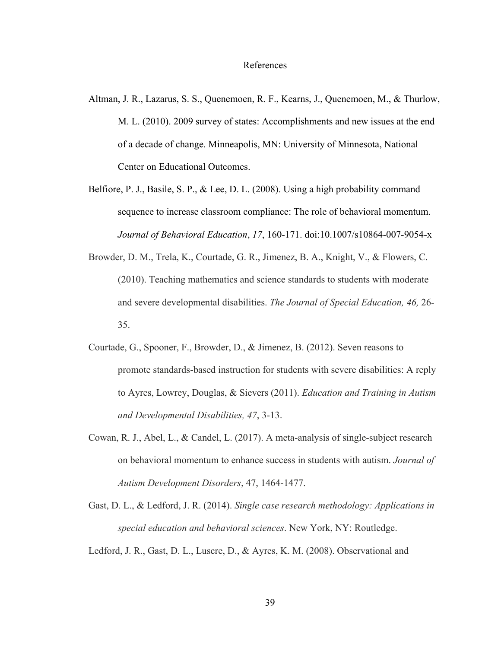#### References

- Altman, J. R., Lazarus, S. S., Quenemoen, R. F., Kearns, J., Quenemoen, M., & Thurlow, M. L. (2010). 2009 survey of states: Accomplishments and new issues at the end of a decade of change. Minneapolis, MN: University of Minnesota, National Center on Educational Outcomes.
- Belfiore, P. J., Basile, S. P., & Lee, D. L. (2008). Using a high probability command sequence to increase classroom compliance: The role of behavioral momentum. *Journal of Behavioral Education*, *17*, 160-171. doi:10.1007/s10864-007-9054-x
- Browder, D. M., Trela, K., Courtade, G. R., Jimenez, B. A., Knight, V., & Flowers, C. (2010). Teaching mathematics and science standards to students with moderate and severe developmental disabilities. *The Journal of Special Education, 46,* 26- 35.
- Courtade, G., Spooner, F., Browder, D., & Jimenez, B. (2012). Seven reasons to promote standards-based instruction for students with severe disabilities: A reply to Ayres, Lowrey, Douglas, & Sievers (2011). *Education and Training in Autism and Developmental Disabilities, 47*, 3-13.
- Cowan, R. J., Abel, L., & Candel, L. (2017). A meta-analysis of single-subject research on behavioral momentum to enhance success in students with autism. *Journal of Autism Development Disorders*, 47, 1464-1477.
- Gast, D. L., & Ledford, J. R. (2014). *Single case research methodology: Applications in special education and behavioral sciences*. New York, NY: Routledge.

Ledford, J. R., Gast, D. L., Luscre, D., & Ayres, K. M. (2008). Observational and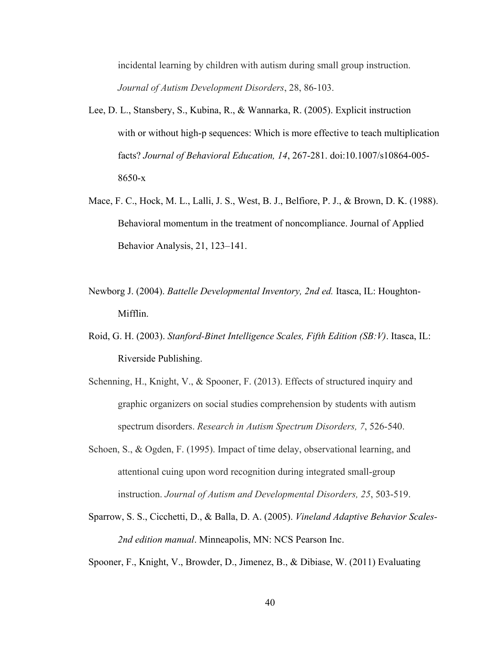incidental learning by children with autism during small group instruction. *Journal of Autism Development Disorders*, 28, 86-103.

- Lee, D. L., Stansbery, S., Kubina, R., & Wannarka, R. (2005). Explicit instruction with or without high-p sequences: Which is more effective to teach multiplication facts? *Journal of Behavioral Education, 14*, 267-281. doi:10.1007/s10864-005- 8650-x
- Mace, F. C., Hock, M. L., Lalli, J. S., West, B. J., Belfiore, P. J., & Brown, D. K. (1988). Behavioral momentum in the treatment of noncompliance. Journal of Applied Behavior Analysis, 21, 123–141.
- Newborg J. (2004). *Battelle Developmental Inventory, 2nd ed.* Itasca, IL: Houghton-Mifflin.
- Roid, G. H. (2003). *Stanford-Binet Intelligence Scales, Fifth Edition (SB:V)*. Itasca, IL: Riverside Publishing.
- Schenning, H., Knight, V., & Spooner, F. (2013). Effects of structured inquiry and graphic organizers on social studies comprehension by students with autism spectrum disorders. *Research in Autism Spectrum Disorders, 7*, 526-540.
- Schoen, S., & Ogden, F. (1995). Impact of time delay, observational learning, and attentional cuing upon word recognition during integrated small-group instruction. *Journal of Autism and Developmental Disorders, 25*, 503-519.
- Sparrow, S. S., Cicchetti, D., & Balla, D. A. (2005). *Vineland Adaptive Behavior Scales-2nd edition manual*. Minneapolis, MN: NCS Pearson Inc.

Spooner, F., Knight, V., Browder, D., Jimenez, B., & Dibiase, W. (2011) Evaluating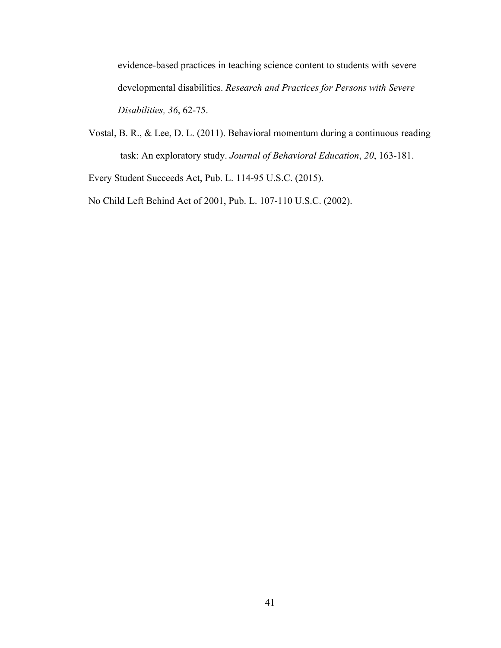evidence-based practices in teaching science content to students with severe developmental disabilities. *Research and Practices for Persons with Severe Disabilities, 36*, 62-75.

Vostal, B. R., & Lee, D. L. (2011). Behavioral momentum during a continuous reading task: An exploratory study. *Journal of Behavioral Education*, *20*, 163-181.

Every Student Succeeds Act, Pub. L. 114-95 U.S.C. (2015).

No Child Left Behind Act of 2001, Pub. L. 107-110 U.S.C. (2002).